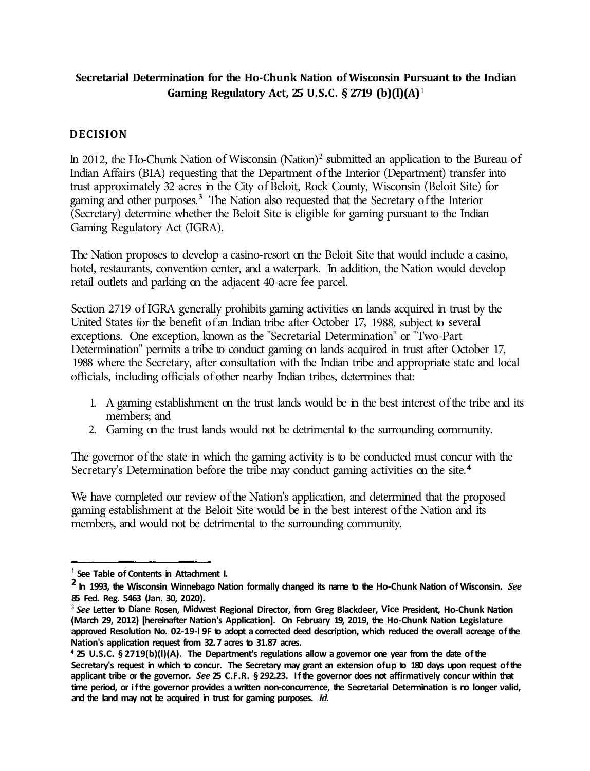## **Secretarial Determination for the Ho-Chunk Nation of Wisconsin Pursuant to the Indian Gaming Regulatory Act, 25 U.S.C. § 2719 (b)(l)(A) <sup>1</sup>**

## **DECISION**

In 2012, the Ho-Chunk Nation of Wisconsin (Nation)2 submitted an application to the Bureau of Indian Affairs (BIA) requesting that the Department of the Interior (Department) transfer into trust approximately 32 acres in the City of Beloit, Rock County, Wisconsin (Beloit Site) for gaming and other purposes.**<sup>3</sup>**The Nation also requested that the Secretary of the Interior (Secretary) determine whether the Beloit Site is eligible for gaming pursuant to the Indian Gaming Regulatory Act (IGRA).

The Nation proposes to develop a casino-resort on the Beloit Site that would include a casino, hotel, restaurants, convention center, and a waterpark. In addition, the Nation would develop retail outlets and parking on the adjacent 40-acre fee parcel.

Section 2719 of IGRA generally prohibits gaming activities on lands acquired in trust by the United States for the benefit of an Indian tribe after October 17, 1988, subject to several exceptions. One exception, known as the "Secretarial Determination" or "Two-Part Determination" permits a tribe to conduct gaming on lands acquired in trust after October 17, 1988 where the Secretary, after consultation with the Indian tribe and appropriate state and local officials, including officials of other nearby Indian tribes, determines that:

- 1. A gaming establishment on the trust lands would be in the best interest of the tribe and its members; and
- 2. Gaming on the trust lands would not be detrimental to the surrounding community.

The governor of the state in which the gaming activity is to be conducted must concur with the Secretary's Determination before the tribe may conduct gaming activities on the site.<sup>4</sup>

We have completed our review of the Nation's application, and determined that the proposed gaming establishment at the Beloit Site would be in the best interest of the Nation and its members, and would not be detrimental to the surrounding community.

<sup>&</sup>lt;sup>1</sup> See Table of Contents in Attachment I.

**<sup>2</sup> In 1993, the Wisconsin Winnebago Nation formally changed its name to the Ho-Chunk Nation of Wisconsin.** *See*  **85 Fed. Reg. 5463 (Jan. 30, 2020).** 

**<sup>3</sup>***See* **Letter to Diane Rosen, Midwest Regional Director, from Greg Blackdeer, Vice President, Ho-Chunk Nation (March 29, 2012) [hereinafter Nation's Application]. On February 19, 2019, the Ho-Chunk Nation Legislature approved Resolution No. 02-19-l 9F to adopt a corrected deed description, which reduced the overall acreage of the Nation's application request from 32. 7 acres to 31.87 acres.** 

<sup>4</sup>**25 U.S.C. § 2719(b)(l)(A). The Department's regulations allow a governor one year from the date of the Secretary's request in which to concur. The Secretary may grant an extension ofup to 180 days upon request of the applicant tribe or the governor.** *See* **25 C.F.R. § 292.23. If the governor does not affirmatively concur within that time period, or if the governor provides a written non-concurrence, the Secretarial Determination is no longer valid, and the land may not be acquired in trust for gaming purposes.** *Id.*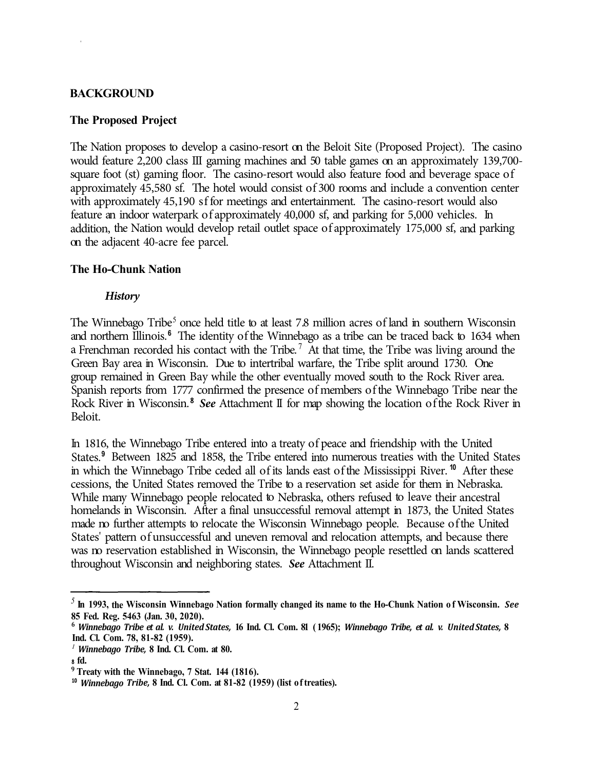#### **BACKGROUND**

#### **The Proposed Project**

The Nation proposes to develop a casino-resort on the Beloit Site (Proposed Project). The casino would feature 2,200 class III gaming machines and 50 table games on an approximately 139,700 square foot (st) gaming floor. The casino-resort would also feature food and beverage space of approximately 45,580 sf. The hotel would consist of 300 rooms and include a convention center with approximately 45,190 sf for meetings and entertainment. The casino-resort would also feature an indoor waterpark of approximately 40,000 sf, and parking for 5,000 vehicles. In addition, the Nation would develop retail outlet space of approximately 175,000 sf, and parking on the adjacent 40-acre fee parcel.

#### **The Ho-Chunk Nation**

#### *History*

The Winnebago Tribe<sup>5</sup> once held title to at least 7.8 million acres of land in southern Wisconsin and northern Illinois. **6** The identity of the Winnebago as a tribe can be traced back to 1634 when a Frenchman recorded his contact with the Tribe.<sup>7</sup> At that time, the Tribe was living around the Green Bay area in Wisconsin. Due to intertribal warfare, the Tribe split around 1730. One group remained in Green Bay while the other eventually moved south to the Rock River area. Spanish reports from 1777 confirmed the presence of members of the Winnebago Tribe near the Rock River in Wisconsin.<sup>8</sup> See Attachment II for map showing the location of the Rock River in Beloit.

In 1816, t he Winnebago Tribe entered into a treaty of peace and friendship with the United States.<sup>9</sup> Between 1825 and 1858, the Tribe entered into numerous treaties with the United States in which the Winnebago Tribe ceded all of its lands east of the Mississippi River. <sup>10</sup> After these cessions, the United States removed the Tribe to a reservation set aside for them in Nebraska. While many Winnebago people relocated to Nebraska, others refused to leave their ancestral homelands in Wisconsin. After a final unsuccessful removal attempt in 1873, the United States made no further attempts to relocate the Wisconsin Winnebago people. Because of the United States' pattern of unsuccessful and uneven removal and relocation attempts, and because there was no reservation established in Wisconsin, the Winnebago people resettled on lands scattered throughout Wisconsin and neighboring states. *See* Attachment II.

*<sup>5</sup>***In 1993, the Wisconsin Winnebago Nation formally changed its name to the Ho-Chunk Nation of Wisconsin.** *See* **85 Fed. Reg. 5463 (Jan. 30, 2020).** 

**<sup>6</sup>***Winnebago Tribe et al. v. United States,* **16 Ind. Cl. Com. 81 ( 1965);** *Winnebago Tribe, et al. v. United States,* **8 Ind. Cl. Com. 78, 81-82 (1959).** 

*<sup>1</sup>Winnebago Tribe,* **8 Ind. Cl. Com. at 80.** 

<sup>8</sup>**fd.** 

**<sup>9</sup>Treaty with the Winnebago, 7 Stat. 144 (1816).** 

**<sup>10</sup>***Winnebago Tribe,* **8 Ind. Cl. Com. at 81-82 (1959) (list of treaties).**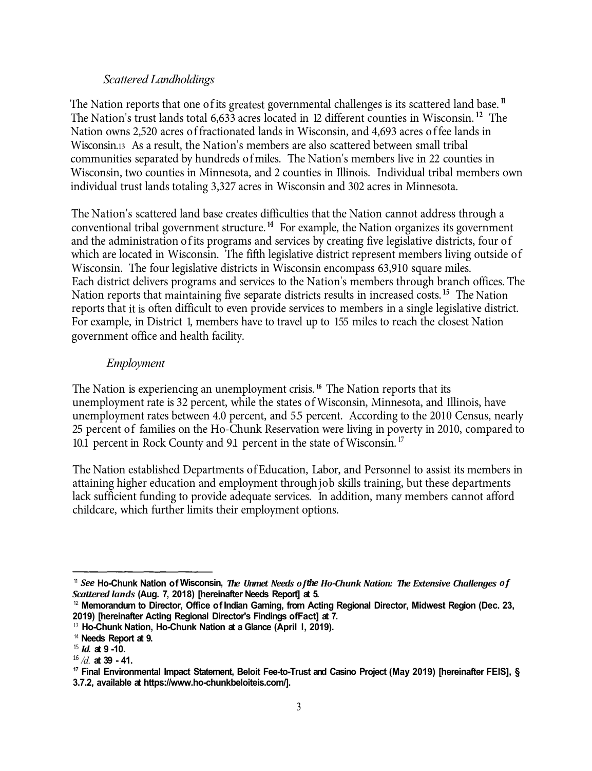#### *Scattered Landholdings*

 communities separated by hundreds ofmiles. The Nation's members live in 22 counties in individual trust lands totaling 3,327 acres in Wisconsin and 302 acres in Minnesota. The Nation reports that one of its greatest governmental challenges is its scattered land base.<sup>11</sup> The Nation's trust lands total 6,633 acres located in 12 different counties in Wisconsin.<sup>12</sup> The Nation owns 2,520 acres of fractionated lands in Wisconsin, and 4,693 acres of fee lands in Wisconsin.13 As a result, the Nation's members are also scattered between small tribal Wisconsin, two counties in Minnesota, and 2 counties in Illinois. Individual tribal members own

 The Nation's scattered land base creates difficulties that the Nation cannot address through a which are located in Wisconsin. The fifth legislative district represent members living outside of Wisconsin. The four legislative districts in Wisconsin encompass 63,910 square miles. For example, in District 1, members have to travel up to 155 miles to reach the closest Nation conventional tribal government structure.<sup>14</sup> For example, the Nation organizes its government and the administration of its programs and services by creating five legislative districts, four of Each district delivers programs and services to the Nation's members through branch offices. The Nation reports that maintaining five separate districts results in increased costs.<sup>15</sup> The Nation reports that it is often difficult to even provide services to members in a single legislative district. government office and health facility.

## *Employment*

unemployment rates between 4.0 percent, and 55 percent. According to the 2010 Census, nearly 10.1 percent in Rock County and 9.1 percent in the state of Wisconsin.<sup>17</sup> The Nation is experiencing an unemployment crisis. **<sup>16</sup>** The Nation reports that its unemployment rate is 32 percent, while the states of Wisconsin, Minnesota, and Illinois, have 25 percent of families on the Ho-Chunk Reservation were living in poverty in 2010, compared to

 lack sufficient funding to provide adequate services. In addition, many members cannot afford The Nation established Departments ofEducation, Labor, and Personnel to assist its members in attaining higher education and employment throughjob skills training, but these departments childcare, which further limits their employment options.

<sup>11</sup>*See* **Ho-Chunk Nation of Wisconsin,** *The Unmet Needs of the Ho-Chunk Nation: The Extensive Challenges of Scattered lands* **(Aug. 7, 2018) [hereinafter Needs Report] at 5.** 

<sup>12</sup>**Memorandum to Director, Office of Indian Gaming, from Acting Regional Director, Midwest Region (Dec. 23, 2019) [hereinafter Acting Regional Director's Findings ofFact] at 7.** 

<sup>&</sup>lt;sup>13</sup> Ho-Chunk Nation, Ho-Chunk Nation at a Glance (April 1, 2019).

<sup>14</sup>**Needs Report at 9.** 

<sup>15</sup>*Id.* **at 9 -10.** 

<sup>&</sup>lt;sup>17</sup> Final Environmental Impact Statement, Beloit Fee-to-Trust and Casino Project (May 2019) [hereinafter FEIS], § **3.7.2, available at https://www.ho-chunkbeloiteis.com/].**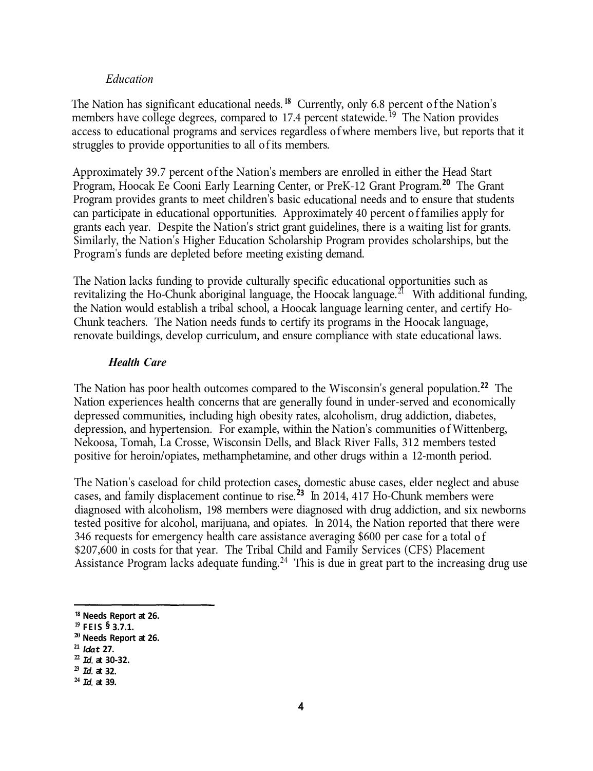#### *Education*

The Nation has significant educational needs.<sup>18</sup> Currently, only 6.8 percent of the Nation's members have college degrees, compared to 17.4 percent statewide.<sup>19</sup> The Nation provides access to educational programs and services regardless of where members live, but reports that it struggles to provide opportunities to all of its members.

Approximately 39.7 percent of the Nation's members are enrolled in either the Head Start Program, Hoocak Ee Cooni Early Learning Center, or PreK-12 Grant Program.**<sup>20</sup>**The Grant Program provides grants to meet children's basic educational needs and to ensure that students can participate in educational opportunities. Approximately 40 percent of families apply for grants each year. Despite the Nation's strict grant guidelines, there is a waiting list for grants. Similarly, the Nation's Higher Education Scholarship Program provides scholarships, but the Program's funds are depleted before meeting existing demand.

The Nation lacks funding to provide culturally specific educational opportunities such as revitalizing the Ho-Chunk aboriginal language, the Hoocak language.<sup>21</sup> With additional funding, the Nation would establish a tribal school, a Hoocak language learning center, and certify Ho-Chunk teachers. The Nation needs funds to certify its programs in the Hoocak language, renovate buildings, develop curriculum, and ensure compliance with state educational laws.

#### *Health Care*

The Nation has poor health outcomes compared to the Wisconsin's general population.<sup>22</sup> The Nation experiences health concerns that are generally found in under-served and economically depressed communities, including high obesity rates, alcoholism, drug addiction, diabetes, depression, and hypertension. For example, within the Nation's communities of Wittenberg, Nekoosa, Tomah, La Crosse, Wisconsin Dells, and Black River Falls, 312 members tested positive for heroin/opiates, methamphetamine, and other drugs within a 12-month period.

The Nation's caseload for child protection cases, domestic abuse cases, elder neglect and abuse cases, and family displacement continue to rise.**<sup>23</sup>**In 2014, 417 Ho-Chunk members were diagnosed with alcoholism, 198 members were diagnosed with drug addiction, and six newborns tested positive for alcohol, marijuana, and opiates. In 2014, the Nation reported that there were 346 requests for emergency health care assistance averaging \$600 per case for a total of \$207,600 in costs for that year. The Tribal Child and Family Services (CFS) Placement Assistance Program lacks adequate funding.<sup>24</sup> This is due in great part to the increasing drug use

**<sup>21</sup>***ldat* **27.** 

<sup>18</sup>**Needs Report at 26.** 

**<sup>19</sup>FEIS § 3.7.1.** 

**<sup>20</sup>Needs Report at 26.** 

**<sup>22</sup>***Id.* **at 30-32.** 

**<sup>23</sup>***Id.* **at 32.** 

**<sup>24</sup>***Id.* **at 39.**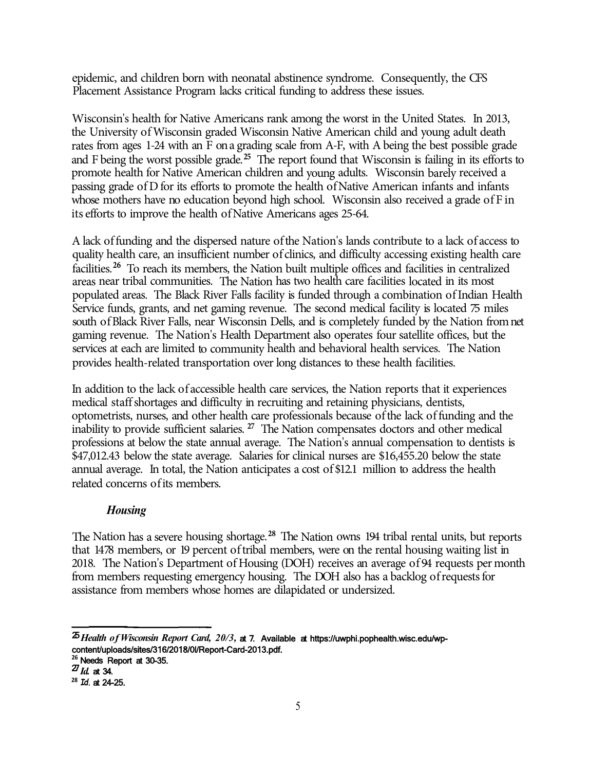epidemic, and children born with neonatal abstinence syndrome. Consequently, the CFS Placement Assistance Program lacks critical funding to address these issues.

Wisconsin's health for Native Americans rank among the worst in the United States. In 2013, the University ofWisconsin graded Wisconsin Native American child and young adult death rates from ages 1-24 with an F on a grading scale from A-F, with A being the best possible grade and F being the worst possible grade. **<sup>25</sup>** The report found that Wisconsin is failing in its efforts to promote health for Native American children and young adults. Wisconsin barely received a passing grade of D for its efforts to promote the health of Native American infants and infants whose mothers have no education beyond high school. Wisconsin also received a grade of F in its efforts to improve the health of Native Americans ages 25-64.

A lack of funding and the dispersed nature of the Nation's lands contribute to a lack of access to quality health care, an insufficient number of clinics, and difficulty accessing existing health care facilities.<sup>26</sup> To reach its members, the Nation built multiple offices and facilities in centralized areas near tribal communities. The Nation has two health care facilities located in its most populated areas. The Black River Falls facility is funded through a combination of Indian Health Service funds, grants, and net gaming revenue. The second medical facility is located  $\sigma$  miles south of Black River Falls, near Wisconsin Dells, and is completely funded by the Nation from net gaming revenue. The Nation's Health Department also operates four satellite offices, but the services at each are limited to community health and behavioral health services. The Nation provides health-related transportation over long distances to these health facilities.

In addition to the lack of accessible health care services, the Nation reports that it experiences medical staff shortages and difficulty in recruiting and retaining physicians, dentists, optometrists, nurses, and other health care professionals because of the lack of funding and the inability to provide sufficient salaries. **<sup>27</sup>** The Nation compensates doctors and other medical professions at below the state annual average. The Nation's annual compensation to dentists is \$47,012.43 below the state average. Salaries for clinical nurses are \$16,455.20 below the state annual average. In total, the Nation anticipates a cost of \$12.1 million to address the health related concerns of its members.

## *Housing*

The Nation has a severe housing shortage. **<sup>28</sup>**The Nation owns 194 tribal rental units, but reports that 1478 members, or 19 percent of tribal members, were on the rental housing waiting list in 2018. The Nation's Department of Housing (DOH) receives an average of 94 requests per month from members requesting emergency housing. The DOH also has a backlog ofrequests for assistance from members whose homes are dilapidated or undersized.

5

<sup>25</sup>*Health of Wisconsin Report Card, 20/3,* at 7. Available at https://uwphi.pophealth.wisc.edu/wpcontent/uploads/sites/316/2018/0l/Report-Card-2013.pdf. **<sup>26</sup>**Needs Report at 30-35.

<sup>27</sup>*Id.* at 34.

**<sup>28</sup>***Id.* at 24-25.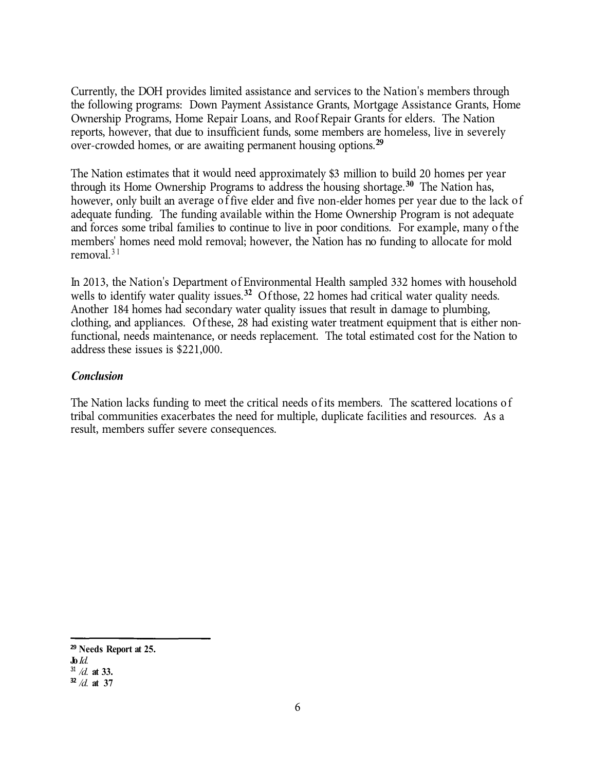Currently, the DOH provides limited assistance and services to the Nation's members through the following programs: Down Payment Assistance Grants, Mortgage Assistance Grants, Home Ownership Programs, Home Repair Loans, and Roof Repair Grants for elders. The Nation reports, however, that due to insufficient funds, some members are homeless, live in severely over-crowded homes, or are awaiting permanent housing options. **<sup>29</sup>**

The Nation estimates that it would need approximately \$3 million to build 20 homes per year through its Home Ownership Programs to address the housing shortage.**30** The Nation has, however, only built an average of five elder and five non-elder homes per year due to the lack of adequate funding. The funding available within the Home Ownership Program is not adequate and forces some tribal families to continue to live in poor conditions. For example, many of the members' homes need mold removal; however, the Nation has no funding to allocate for mold removal. $31$ 

In 2013, the Nation's Department of Environmental Health sampled 332 homes with household wells to identify water quality issues.**32** Of those, 22 homes had critical water quality needs. Another 184 homes had secondary water quality issues that result in damage to plumbing, clothing, and appliances. Of these, 28 had existing water treatment equipment that is either nonfunctional, needs maintenance, or needs replacement. The total estimated cost for the Nation to address these issues is \$221,000.

## *Conclusion*

The Nation lacks funding to meet the critical needs of its members. The scattered locations of tribal communities exacerbates the need for multiple, duplicate facilities and resources. As a result, members suffer severe consequences.

6

**<sup>29</sup>Needs Report at 25.** 

**Jo** *Id.*  <sup>31</sup>*/d.* **at 33.** 

**<sup>32</sup>***/d.* **at 37**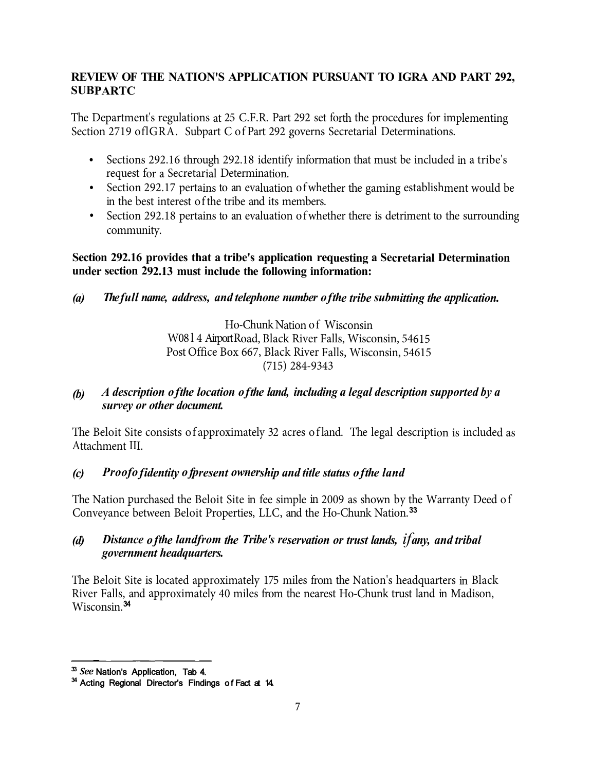## **REVIEW OF THE NATION'S APPLICATION PURSUANT TO IGRA AND PART 292, SUBPARTC**

The Department's regulations at 25 C.F.R. Part 292 set forth the procedures for implementing Section 2719 oflGRA. Subpart C of Part 292 governs Secretarial Determinations.

- Sections 292.16 through 292.18 identify information that must be included in a tribe's request for a Secretarial Determination.
- Section 292.17 pertains to an evaluation of whether the gaming establishment would be in the best interest of the tribe and its members.
- Section 292.18 pertains to an evaluation of whether there is detriment to the surrounding community.

## **Section 292.16 provides that a tribe's application requesting a Secretarial Determination under section 292.13 must include the following information:**

*(a) The full name, address, and telephone number of the tribe submitting the application.*

Ho-Chunk Nation of Wisconsin W08 l 4 AirportRoad, Black River Falls, Wisconsin, <sup>54615</sup> Post Office Box 667, Black River Falls, Wisconsin, 54615 (715) 284-9343

*(b) A description of the location of the land, including a legal description supported by a survey or other document.*

The Beloit Site consists of approximately 32 acres of land. The legal description is included as Attachment III.

## *(c) Proof of identity of present ownership and title status of the land*

The Nation purchased the Beloit Site in fee simple in 2009 as shown by the Warranty Deed of Conveyance between Beloit Properties, LLC, and the Ho-Chunk Nation.<sup>33</sup>

## *(d) Distance of the land from the Tribe's reservation or trust lands, if any, and tribal government headquarters.*

The Beloit Site is located approximately 175 miles from the Nation's headquarters in Black River Falls, and approximately 40 miles from the nearest Ho-Chunk trust land in Madison, Wisconsin.<sup>34</sup>

**<sup>33</sup>***See* Nation's Application, Tab 4.

**<sup>34</sup>**Acting Regional Director's Findings of Fact at 14.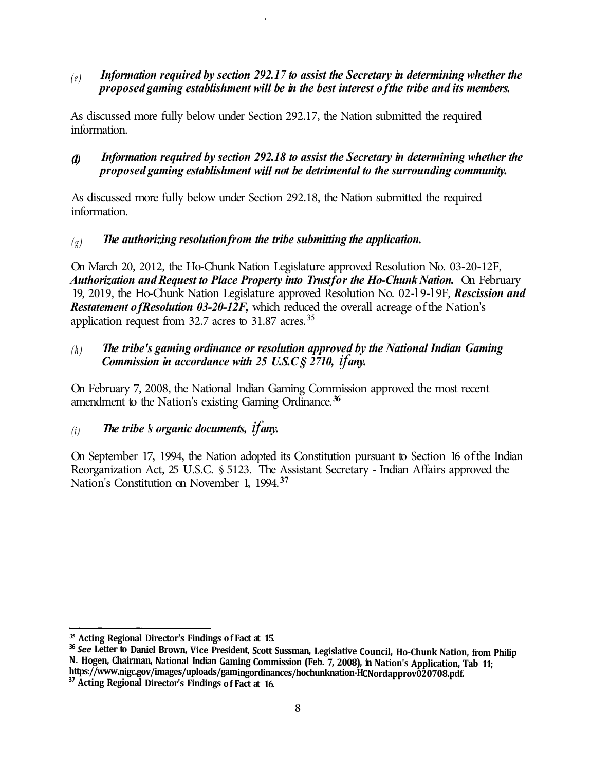## *(e) Information required by section 292.17 to assist the Secretary in determining whether the proposed gaming establishment will be in the best interest of the tribe and its members.*

As discussed more fully below under Section 292.17, the Nation submitted the required information.

## *(I) Information required by section 292.18 to assist the Secretary in determining whether the proposed gaming establishment will not be detrimental to the surrounding community.*

As discussed more fully below under Section 292.18, the Nation submitted the required information.

## *(g) The authorizing resolution from the tribe submitting the application.*

On March 20, 2012, the Ho-Chunk Nation Legislature approved Resolution No. 03-20-12F, *Authorization and Request to Place Property into Trust for the Ho-Chunk Nation.* On February 19, 2019, the Ho-Chunk Nation Legislature approved Resolution No. 02-l 9-l 9F, *Rescission and Restatement of Resolution 03-20-12F*, which reduced the overall acreage of the Nation's application request from  $32.7$  acres to  $31.87$  acres.  $35$ 

## *(h) The tribe's gaming ordinance or resolution approved by the National Indian Gaming Commission in accordance with 25 U.S.C § 2710, if any.*

On February 7, 2008, the National Indian Gaming Commission approved the most recent amendment to the Nation's existing Gaming Ordinance. **<sup>36</sup>**

## $(i)$  *The tribe 's organic documents, if any.*

On September 17, 1994, the Nation adopted its Constitution pursuant to Section 16 of the Indian Reorganization Act, 25 U.S.C. § 5123. The Assistant Secretary - Indian Affairs approved the Nation's Constitution on November 1, 1994.**<sup>37</sup>**

**<sup>35</sup>Acting Regional Director's Findings of Fact at 15.** 

<sup>&</sup>lt;sup>36</sup> See Letter to Daniel Brown, Vice President, Scott Sussman, Legislative Council, Ho-Chunk Nation, from Philip N. Hogen, Chairman, National Indian Gaming Commission (Feb. 7, 2008), in Nation's Application, Tab 11;<br>https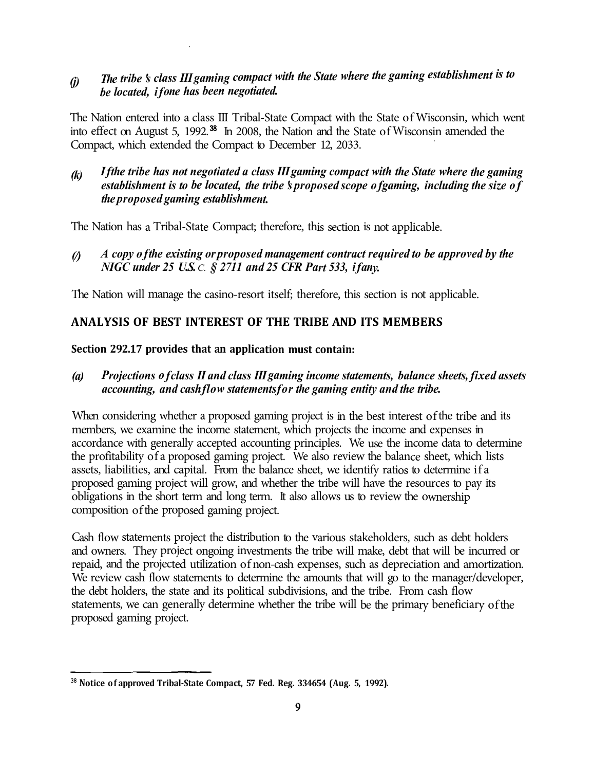# *The tribe 's class III gaming compact with the State where the gaming establishment is to (j) be located, if one has been negotiated.*

The Nation entered into a class III Tribal-State Compact with the State of Wisconsin, which went into effect on August 5, 1992.<sup>38</sup> In 2008, the Nation and the State of Wisconsin amended the Compact, which extended the Compact to December 12, 2033.

*If the tribe has not negotiated a class III gaming compact with the State where the gaming (k) establishment is to be located, the tribe 's proposed scope of gaming, including the size o <sup>f</sup> the proposed gaming establishment.*

The Nation has a Tribal-State Compact; therefore, this section is not applicable.

*(/) A copy of the existing or proposed management contract required to be approved by the NIGC under 25 U.S. C. § 2711 and 25 CFR Part 533, if any.* 

The Nation will manage the casino-resort itself; therefore, this section is not applicable.

## **ANALYSIS OF BEST INTEREST OF THE TRIBE AND ITS MEMBERS**

## **Section 292.17 provides that an application must contain:**

*(a) Projections of class II and class III gaming income statements, balance sheets, fixed assets accounting, and cash flow statements for the gaming entity and the tribe.*

When considering whether a proposed gaming project is in the best interest of the tribe and its members, we examine the income statement, which projects the income and expenses in accordance with generally accepted accounting principles. We use the income data to determine the profitability of a proposed gaming project. We also review the balance sheet, which lists assets, liabilities, and capital. From the balance sheet, we identify ratios to determine if a proposed gaming project will grow, and whether the tribe will have the resources to pay its obligations in the short term and long term. It also allows us to review the ownership composition of the proposed gaming project.

Cash flow statements project the distribution to the various stakeholders, such as debt holders and owners. They project ongoing investments the tribe will make, debt that will be incurred or repaid, and the projected utilization of non-cash expenses, such as depreciation and amortization. We review cash flow statements to determine the amounts that will go to the manager/developer, the debt holders, the state and its political subdivisions, and the tribe. From cash flow statements, we can generally determine whether the tribe will be the primary beneficiary of the proposed gaming project.

**<sup>38</sup>Notice of approved Tribal-State Compact, 57 Fed. Reg. 334654 (Aug. 5, 1992).**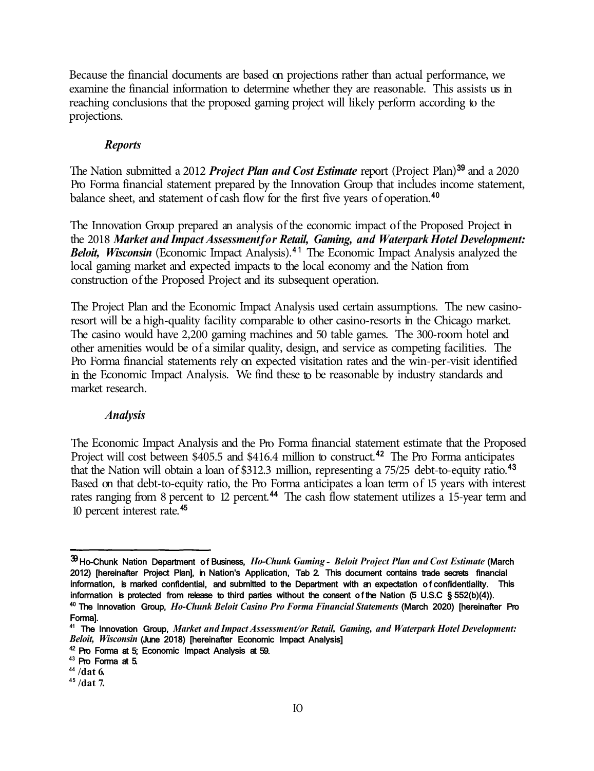Because the financial documents are based on projections rather than actual performance, we examine the financial information to determine whether they are reasonable. This assists us in reaching conclusions that the proposed gaming project will likely perform according to the projections.

#### *Reports*

The Nation submitted a 2012 *Project Plan and Cost Estimate* report (Project Plan)<sup>39</sup> and a 2020 Pro Forma financial statement prepared by the Innovation Group that includes income statement, balance sheet, and statement of cash flow for the first five years of operation.<sup>40</sup>

The Innovation Group prepared an analysis of the economic impact of the Proposed Project in the 2018 *Market and Impact Assessment for Retail, Gaming, and Waterpark Hotel Development:*  **Beloit, Wisconsin** (Economic Impact Analysis).<sup>41</sup> The Economic Impact Analysis analyzed the local gaming market and expected impacts to the local economy and the Nation from construction of the Proposed Project and its subsequent operation.

The Project Plan and the Economic Impact Analysis used certain assumptions. The new casinoresort will be a high-quality facility comparable to other casino-resorts in the Chicago market. The casino would have 2,200 gaming machines and 50 table games. The 300-room hotel and other amenities would be of a similar quality, design, and service as competing facilities. The Pro Forma financial statements rely on expected visitation rates and the win-per-visit identified in the Economic Impact Analysis. We find these to be reasonable by industry standards and market research.

#### *Analysis*

The Economic Impact Analysis and the Pro Forma financial statement estimate that the Proposed Project will cost between \$405.5 and \$416.4 million to construct.<sup>42</sup> The Pro Forma anticipates that the Nation will obtain a loan of \$312.3 million, representing a 75/25 debt-to-equity ratio.<sup>43</sup> Based on that debt-to-equity ratio, the Pro Forma anticipates a loan term of 15 years with interest rates ranging from 8 percent to 12 percent.<sup>44</sup> The cash flow statement utilizes a 15-year term and 10 percent interest rate. <sup>45</sup>

<sup>39</sup> Ho-Chunk Nation Department of Business, *Ho-Chunk Gaming* - *Beloit Project Plan and Cost Estimate* (March 2012) [hereinafter Project Plan], in Nation's Application, Tab 2. This document contains trade secrets financial information, is marked confidential, and submitted to the Department with an expectation of confidentiality. This information is protected from release to third parties without the consent of the Nation (5 U.S.C § 552(b)(4)). 40 The Innovation Group, *Ho-Chunk Beloit Casino Pro Forma Financial Statements* (March 2020) [hereinafter Pro Forma].

**<sup>41</sup>**The Innovation Group, *Market and Impact Assessment/or Retail, Gaming, and Waterpark Hotel Development: Beloit, Wisconsin* (June 2018) [hereinafter Economic Impact Analysis]

<sup>42</sup> Pro Forma at 5; Economic Impact Analysis at 59.

**<sup>43</sup>** Pro Forma at 5.

**<sup>44</sup> /dat 6.** 

**<sup>45</sup>/dat 7.**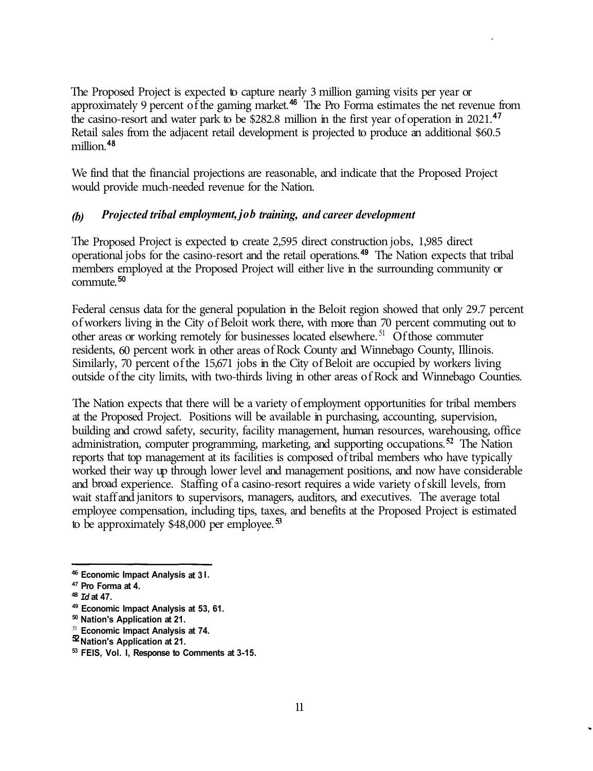The Proposed Project is expected to capture nearly 3 million gaming visits per year or approximately 9 percent of the gaming market.<sup>46</sup> The Pro Forma estimates the net revenue from the casino-resort and water park to be \$282.8 million in the first year of operation in 2021.<sup>47</sup> Retail sales from the adjacent retail development is projected to produce an additional \$60.5 million.<sup>48</sup>

We find that the financial projections are reasonable, and indicate that the Proposed Project would provide much-needed revenue for the Nation.

#### *(b) Projected tribal employment, job training, and career development*

The Proposed Project is expected to create 2,595 direct construction jobs, 1,985 direct operational jobs for the casino-resort and the retail operations.<sup>49</sup> The Nation expects that tribal members employed at the Proposed Project will either live in the surrounding community or commute.<sup>50</sup>

Federal census data for the general population in the Beloit region showed that only 29.7 percent of workers living in the City of Beloit work there, with more than 70 percent commuting out to other areas or working remotely for businesses located elsewhere.<sup>51</sup> Of those commuter residents, 60 percent work in other areas of Rock County and Winnebago County, Illinois. Similarly, 70 percent of the 15,671 jobs in the City of Beloit are occupied by workers living outside of the city limits, with two-thirds living in other areas of Rock and Winnebago Counties.

The Nation expects that there will be a variety of employment opportunities for tribal members at the Proposed Project. Positions will be available in purchasing, accounting, supervision, building and crowd safety, security, facility management, human resources, warehousing, office administration, computer programming, marketing, and supporting occupations.**<sup>52</sup>**The Nation reports that top management at its facilities is composed of tribal members who have typically worked their way up through lower level and management positions, and now have considerable and broad experience. Staffing of a casino-resort requires a wide variety of skill levels, from wait staff and janitors to supervisors, managers, auditors, and executives. The average total employee compensation, including tips, taxes, and benefits at the Proposed Project is estimated to be approximately \$48,000 per employee. **<sup>53</sup>**

- **50 Nation's Application at 21.**
- <sup>51</sup>**Economic Impact Analysis at 74.**
- **52 Nation's Application at 21.**

**<sup>46</sup>Economic Impact Analysis at 3 I. 47 Pro Forma at 4.** 

**<sup>48</sup>***Id* **at 47. 49 Economic Impact Analysis at 53, 61.** 

**<sup>53</sup> FEIS, Vol. I, Response to Comments at 3-15.**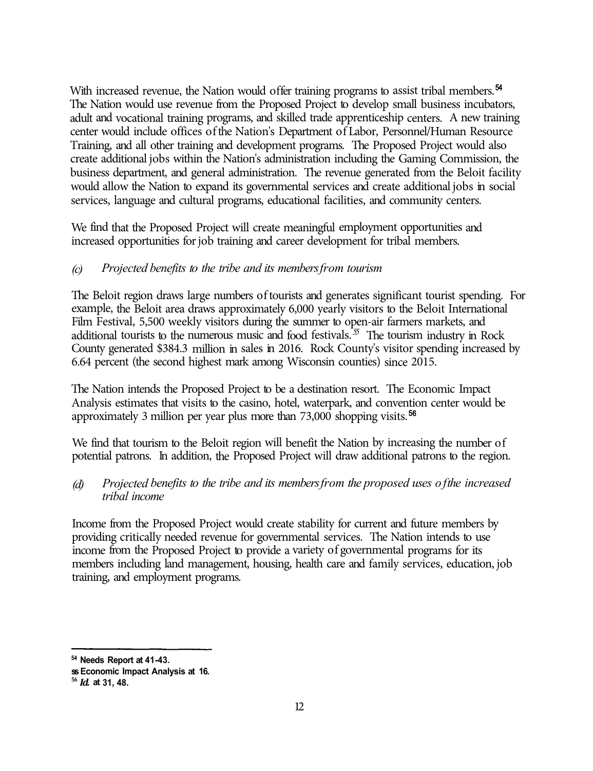With increased revenue, the Nation would offer training programs to assist tribal members.<sup>54</sup> The Nation would use revenue from the Proposed Project to develop small business incubators, adult and vocational training programs, and skilled trade apprenticeship centers. A new training center would include offices of the Nation's Department of Labor, Personnel/Human Resource Training, and all other training and development programs. The Proposed Project would also create additional jobs within the Nation's administration including the Gaming Commission, the business department, and general administration. The revenue generated from the Beloit facility would allow the Nation to expand its governmental services and create additional jobs in social services, language and cultural programs, educational facilities, and community centers.

We find that the Proposed Project will create meaningful employment opportunities and increased opportunities for job training and career development for tribal members.

## *(c) Projected benefits to the tribe and its members from tourism*

The Beloit region draws large numbers of tourists and generates significant tourist spending. For example, the Beloit area draws approximately 6,000 yearly visitors to the Beloit International Film Festival, 5,500 weekly visitors during the summer to open-air farmers markets, and additional tourists to the numerous music and food festivals.<sup> $55$ </sup> The tourism industry in Rock County generated \$384.3 million in sales in 2016. Rock County's visitor spending increased by 6.64 percent (the second highest mark among Wisconsin counties) since 2015.

The Nation intends the Proposed Project to be a destination resort. The Economic Impact Analysis estimates that visits to the casino, hotel, waterpark, and convention center would be approximately 3 million per year plus more than 73,000 shopping visits.<sup>56</sup>

We find that tourism to the Beloit region will benefit the Nation by increasing the number of potential patrons. In addition, the Proposed Project will draw additional patrons to the region.

## *(d) Projected benefits to the tribe and its members from the proposed uses of the increased tribal income*

Income from the Proposed Project would create stability for current and future members by providing critically needed revenue for governmental services. The Nation intends to use income from the Proposed Project to provide a variety of governmental programs for its members including land management, housing, health care and family services, education, job training, and employment programs.

<sup>54</sup>**Needs Report at 41-43.** 

**ss Economic Impact Analysis at 16.** 

**<sup>56</sup>***Id.* **at 31, 48.**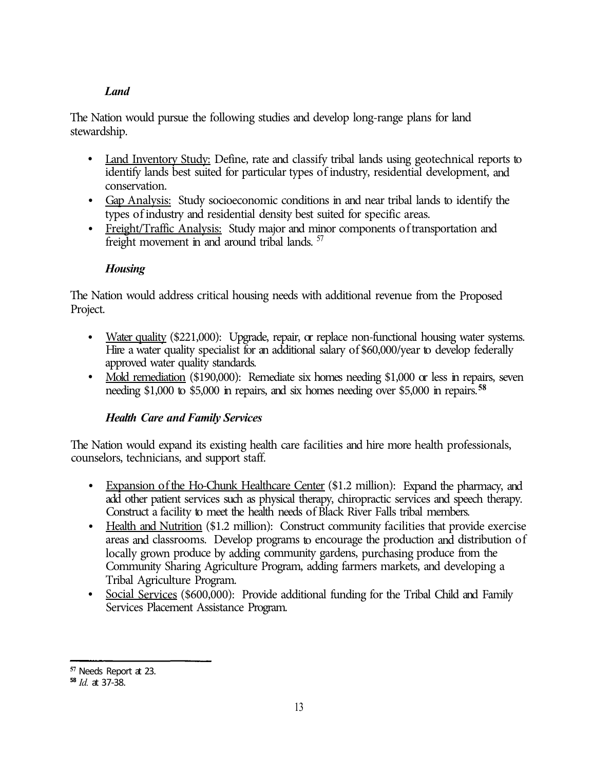## *Land*

The Nation would pursue the following studies and develop long-range plans for land stewardship.

- Land Inventory Study: Define, rate and classify tribal lands using geotechnical reports to identify lands best suited for particular types of industry, residential development, and conservation.
- Gap Analysis: Study socioeconomic conditions in and near tribal lands to identify the types of industry and residential density best suited for specific areas.
- Freight/Traffic Analysis: Study major and minor components of transportation and freight movement in and around tribal lands. <sup>57</sup>

## *Housing*

The Nation would address critical housing needs with additional revenue from the Proposed Project.

- Water quality (\$221,000): Upgrade, repair, or replace non-functional housing water systems. Hire a water quality specialist for an additional salary of \$60,000/year to develop federally approved water quality standards.
- Mold remediation (\$190,000): Remediate six homes needing \$1,000 or less in repairs, seven needing \$1,000 to \$5,000 in repairs, and six homes needing over \$5,000 in repairs.**<sup>58</sup>**

## *Health Care and Family Services*

The Nation would expand its existing health care facilities and hire more health professionals, counselors, technicians, and support staff.

- Expansion of the Ho-Chunk Healthcare Center (\$1.2 million): Expand the pharmacy, and add other patient services such as physical therapy, chiropractic services and speech therapy. Construct a facility to meet the health needs of Black River Falls tribal members.
- Health and Nutrition (\$1.2 million): Construct community facilities that provide exercise areas and classrooms. Develop programs to encourage the production and distribution of locally grown produce by adding community gardens, purchasing produce from the Community Sharing Agriculture Program, adding farmers markets, and developing a Tribal Agriculture Program.
- Social Services (\$600,000): Provide additional funding for the Tribal Child and Family Services Placement Assistance Program.

**<sup>57</sup>**Needs Report at 23.

**<sup>58</sup>***Id.* at 37-38.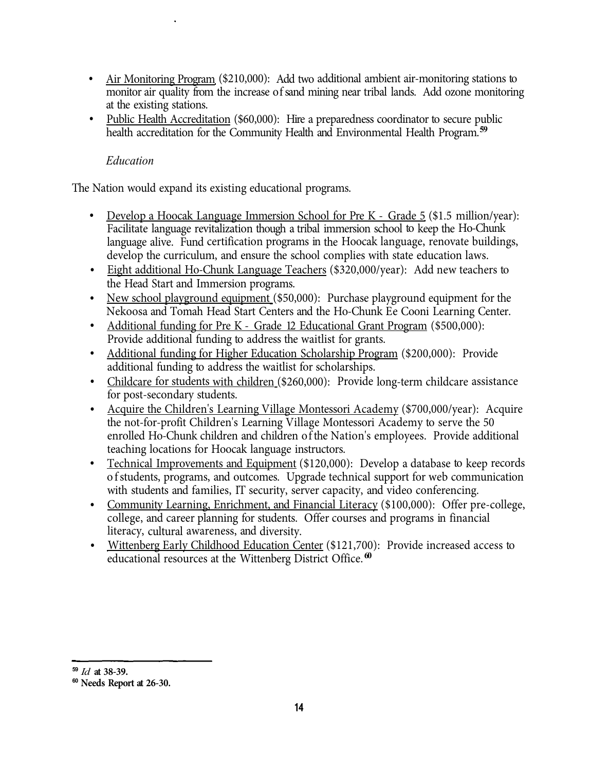- Air Monitoring Program (\$210,000): Add two additional ambient air-monitoring stations to monitor air quality from the increase of sand mining near tribal lands. Add ozone monitoring at the existing stations.
- Public Health Accreditation (\$60,000): Hire a preparedness coordinator to secure public health accreditation for the Community Health and Environmental Health Program.**<sup>59</sup>**

## *Education*

The Nation would expand its existing educational programs.

- Develop a Hoocak Language Immersion School for Pre K Grade 5 (\$1.5 million/year): Facilitate language revitalization though a tribal immersion school to keep the Ho-Chunk language alive. Fund certification programs in the Hoocak language, renovate buildings, develop the curriculum, and ensure the school complies with state education laws.
- Eight additional Ho-Chunk Language Teachers (\$320,000/year): Add new teachers to the Head Start and Immersion programs.
- New school playground equipment (\$50,000): Purchase playground equipment for the Nekoosa and Tomah Head Start Centers and the Ho-Chunk Ee Cooni Learning Center.
- Additional funding for Pre K Grade 12 Educational Grant Program (\$500,000): Provide additional funding to address the waitlist for grants.
- Additional funding for Higher Education Scholarship Program (\$200,000): Provide additional funding to address the waitlist for scholarships.
- Childcare for students with children (\$260,000): Provide long-term childcare assistance for post-secondary students.
- Acquire the Children's Learning Village Montessori Academy (\$700,000/year): Acquire the not-for-profit Children's Learning Village Montessori Academy to serve the 50 enrolled Ho-Chunk children and children of the Nation's employees. Provide additional teaching locations for Hoocak language instructors.
- Technical Improvements and Equipment (\$120,000): Develop a database to keep records of students, programs, and outcomes. Upgrade technical support for web communication with students and families, IT security, server capacity, and video conferencing.
- Community Learning, Enrichment, and Financial Literacy (\$100,000): Offer pre-college, college, and career planning for students. Offer courses and programs in financial literacy, cultural awareness, and diversity.
- Wittenberg Early Childhood Education Center (\$121,700): Provide increased access to educational resources at the Wittenberg District Office. **<sup>60</sup>**

**<sup>59</sup>** *Id* **at 38-39.** 

**<sup>60</sup>Needs Report at 26-30.**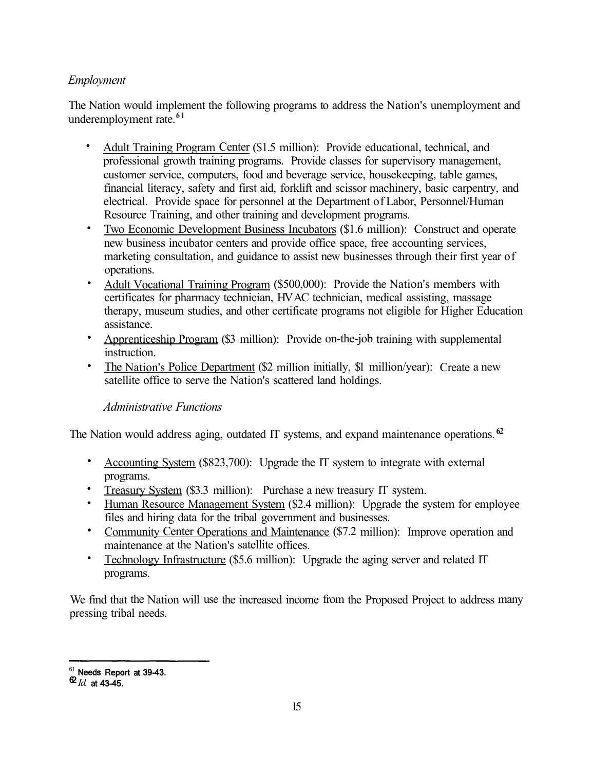## *Employment*

The Nation would implement the following programs to address the Nation's unemployment and underemployment rate.**6 1** 

- Adult Training Program Center (\$1.5 million): Provide educational, technical, and professional growth training programs. Provide classes for supervisory management, customer service, computers, food and beverage service, housekeeping, table games, financial literacy, safety and first aid, forklift and scissor machinery, basic carpentry, and electrical. Provide space for personnel at the Department of Labor, Personnel/Human Resource Training, and other training and development programs.
- Two Economic Development Business Incubators (\$1.6 million): Construct and operate new business incubator centers and provide office space, free accounting services, marketing consultation, and guidance to assist new businesses through their first year of operations.
- Adult Vocational Training Program (\$500,000): Provide the Nation's members with certificates for pharmacy technician, HV AC technician, medical assisting, massage therapy, museum studies, and other certificate programs not eligible for Higher Education assistance.
- Apprenticeship Program (\$3 million): Provide on-the-job training with supplemental instruction.
- The Nation's Police Department (\$2 million initially, \$1 million/year): Create a new satellite office to serve the Nation's scattered land holdings.

## *Administrative Functions*

The Nation would address aging, outdated IT systems, and expand maintenance operations. **<sup>62</sup>**

- Accounting System (\$823,700): Upgrade the IT system to integrate with external programs.
- Treasury System (\$3.3 million): Purchase a new treasury IT system.
- Human Resource Management System (\$2.4 million): Upgrade the system for employee files and hiring data for the tribal government and businesses.
- Community Center Operations and Maintenance (\$7.2 million): Improve operation and maintenance at the Nation's satellite offices.
- Technology Infrastructure (\$5.6 million): Upgrade the aging server and related IT programs.

We find that the Nation will use the increased income from the Proposed Project to address many pressing tribal needs.

 $\frac{61}{2}$  Needs Report at 39-43.

<sup>62</sup>*Id.* at 43-45.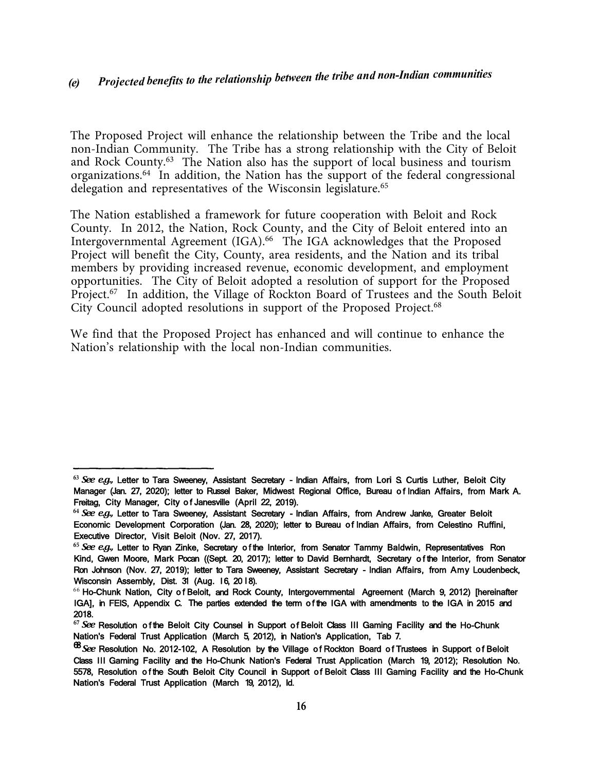## *(e) Projected benefits to the relationship between the tribe and non-Indian communities*

The Proposed Project will enhance the relationship between the Tribe and the local non-Indian Community. The Tribe has a strong relationship with the City of Beloit and Rock County.63 The Nation also has the support of local business and tourism organizations.64 In addition, the Nation has the support of the federal congressional delegation and representatives of the Wisconsin legislature.<sup>65</sup>

Intergovernmental Agreement (IGA).<sup>66</sup> The IGA acknowledges that the Proposed Project.<sup>67</sup> In addition, the Village of Rockton Board of Trustees and the South Beloit The Nation established a framework for future cooperation with Beloit and Rock County. In 2012, the Nation, Rock County, and the City of Beloit entered into an Project will benefit the City, County, area residents, and the Nation and its tribal members by providing increased revenue, economic development, and employment opportunities. The City of Beloit adopted a resolution of support for the Proposed City Council adopted resolutions in support of the Proposed Project.<sup>68</sup>

We find that the Proposed Project has enhanced and will continue to enhance the Nation's relationship with the local non-Indian communities.

**<sup>63</sup>***See e.g.,* Letter to Tara Sweeney, Assistant Secretary - Indian Affairs, from Lori S. Curtis Luther, Beloit City Manager (Jan. 27, 2020); letter to Russel Baker, Midwest Regional Office, Bureau of Indian Affairs, from Mark A. Freitag, City Manager, City of Janesville (April 22, 2019).

**<sup>64</sup>***See e.g.,* Letter to Tara Sweeney, Assistant Secretary - Indian Affairs, from Andrew Janke, Greater Beloit Economic Development Corporation (Jan. 28, 2020); letter to Bureau of Indian Affairs, from Celestino Ruffini, Executive Director, Visit Beloit (Nov. 27, 2017).

**<sup>65</sup>***See e.g.,* Letter to Ryan Zinke, Secretary of the Interior, from Senator Tammy Baldwin, Representatives Ron Kind, Gwen Moore, Mark Pocan ((Sept. 20, 2017); letter to David Bernhardt, Secretary of the Interior, from Senator Ron Johnson (Nov. 27, 2019); letter to Tara Sweeney, Assistant Secretary - Indian Affairs, from Amy Loudenbeck, Wisconsin Assembly, Dist. 31 (Aug. 16, 2018).

 $66$  Ho-Chunk Nation, City of Beloit, and Rock County, Intergovernmental Agreement (March 9, 2012) [hereinafter IGA], in FEIS, Appendix C. The parties extended the term of the IGA with amendments to the IGA in 2015 and 2018.

**<sup>67</sup>***See* Resolution of the Beloit City Counsel in Support of Beloit Class III Gaming Facility and the Ho-Chunk Nation's Federal Trust Application (March 5, 2012), in Nation's Application, Tab 7.

<sup>68</sup>*See* Resolution No. 2012-102, A Resolution by the Village of Rockton Board of Trustees in Support of Beloit Class Ill Gaming Facility and the Ho-Chunk Nation's Federal Trust Application (March 19, 2012); Resolution No. 5578, Resolution of the South Beloit City Council in Support of Beloit Class III Gaming Facility and the Ho-Chunk Nation's Federal Trust Application (March 19, 2012), Id.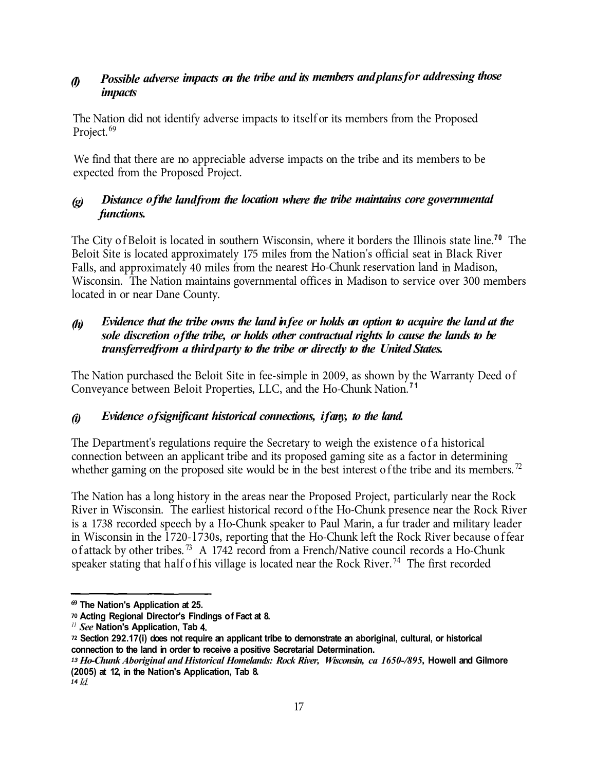# *Possible adverse impacts on the tribe and its members and plans for addressing those (I) impacts*

The Nation did not identify adverse impacts to itself or its members from the Proposed Project.<sup>69</sup>

We find that there are no appreciable adverse impacts on the tribe and its members to be expected from the Proposed Project.

## *(g) Distance of the land from the location where the tribe maintains core governmental functions.*

The City of Beloit is located in southern Wisconsin, where it borders the Illinois state line.<sup>70</sup> The Beloit Site is located approximately 175 miles from the Nation's official seat in Black River Falls, and approximately 40 miles from the nearest Ho-Chunk reservation land in Madison, Wisconsin. The Nation maintains governmental offices in Madison to service over 300 members located in or near Dane County.

## *(h) Evidence that the tribe owns the land in fee or holds an option to acquire the land at the sole discretion of the tribe, or holds other contractual rights lo cause the lands to be transferred from a third party to the tribe or directly to the United States.*

The Nation purchased the Beloit Site in fee-simple in 2009, as shown by the Warranty Deed of Conveyance between Beloit Properties, LLC, and the Ho-Chunk Nation. **7 1** 

## *(i) Evidence of significant historical connections, if any, to the land.*

The Department's regulations require the Secretary to weigh the existence of a historical connection between an applicant tribe and its proposed gaming site as a factor in determining whether gaming on the proposed site would be in the best interest of the tribe and its members.<sup>72</sup>

The Nation has a long history in the areas near the Proposed Project, particularly near the Rock River in Wisconsin. The earliest historical record of the Ho-Chunk presence near the Rock River is a 1738 recorded speech by a Ho-Chunk speaker to Paul Marin, a fur trader and military leader in Wisconsin in the l 720-l 730s, reporting that the Ho-Chunk left the Rock River because of fear of attack by other tribes.<sup>73</sup> A 1742 record from a French/Native council records a Ho-Chunk speaker stating that half of his village is located near the Rock River.<sup>74</sup> The first recorded

**<sup>69</sup>The Nation's Application at 25.** 

**<sup>70</sup>Acting Regional Director's Findings of Fact at 8.** 

*<sup>11</sup>See* **Nation's Application, Tab 4.** 

**<sup>72</sup>Section 292.17(i) does not require an applicant tribe to demonstrate an aboriginal, cultural, or historical connection to the land in order to receive a positive Secretarial Determination.** 

<sup>&</sup>lt;sup>13</sup> Ho-Chunk Aboriginal and Historical Homelands: Rock River, Wisconsin, ca 1650-/895, Howell and Gilmore **(2005) at 12, in the Nation's Application, Tab 8.**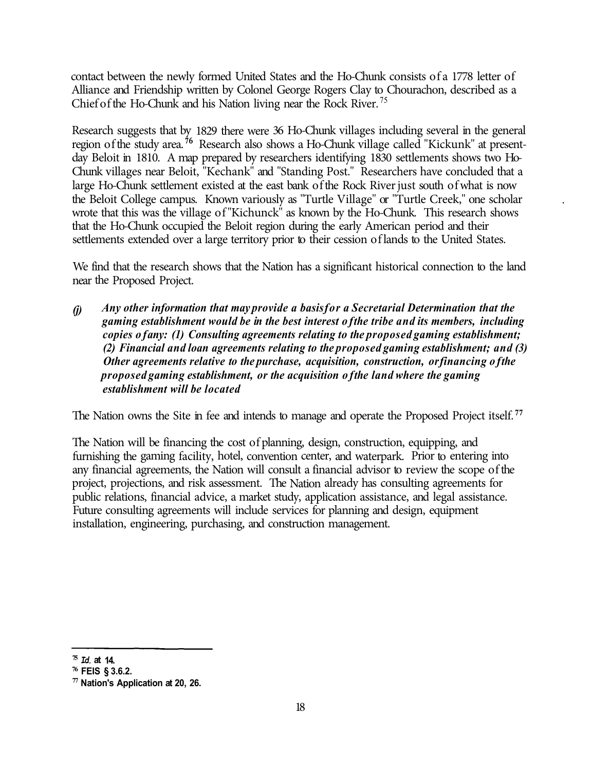contact between the newly formed United States and the Ho-Chunk consists of a 1778 letter of Alliance and Friendship written by Colonel George Rogers Clay to Chourachon, described as a Chief of the Ho-Chunk and his Nation living near the Rock River. <sup>75</sup>

Research suggests that by 1829 there were 36 Ho-Chunk villages including several in the general region of the study area.<sup>56</sup> Research also shows a Ho-Chunk village called "Kickunk" at presentday Beloit in 1810. A map prepared by researchers identifying 1830 settlements shows two Ho-Chunk villages near Beloit, "Kechank" and "Standing Post." Researchers have concluded that a large Ho-Chunk settlement existed at the east bank of the Rock River just south of what is now the Beloit College campus. Known variously as "Turtle Village" or "Turtle Creek," one scholar wrote that this was the village of "Kichunck" as known by the Ho-Chunk. This research shows that the Ho-Chunk occupied the Beloit region during the early American period and their settlements extended over a large territory prior to their cession of lands to the United States.

We find that the research shows that the Nation has a significant historical connection to the land near the Proposed Project.

*(j) Any other information that may provide a basis for a Secretarial Determination that the gaming establishment would be in the best interest of the tribe and its members, including copies of any: (1) Consulting agreements relating to the proposed gaming establishment; (2) Financial and loan agreements relating to the proposed gaming establishment; and (3) Other agreements relative to the purchase, acquisition, construction, or financing of the proposed gaming establishment, or the acquisition of the land where the gaming establishment will be located*

The Nation owns the Site in fee and intends to manage and operate the Proposed Project itself. **<sup>77</sup>**

The Nation will be financing the cost of planning, design, construction, equipping, and furnishing the gaming facility, hotel, convention center, and waterpark. Prior to entering into any financial agreements, the Nation will consult a financial advisor to review the scope of the project, projections, and risk assessment. The Nation already has consulting agreements for public relations, financial advice, a market study, application assistance, and legal assistance. Future consulting agreements will include services for planning and design, equipment installation, engineering, purchasing, and construction management.

**<sup>75</sup>***Id.* **at 14.** 

**<sup>76</sup>FEIS § 3.6.2.** 

**<sup>77</sup>Nation's Application at 20, 26.**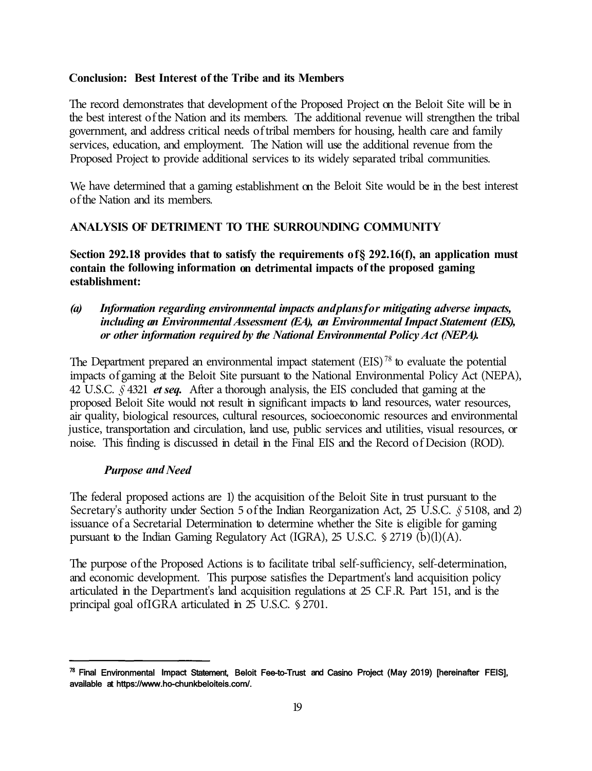#### **Conclusion: Best Interest of the Tribe and its Members**

The record demonstrates that development of the Proposed Project on the Beloit Site will be in the best interest of the Nation and its members. The additional revenue will strengthen the tribal government, and address critical needs of tribal members for housing, health care and family services, education, and employment. The Nation will use the additional revenue from the Proposed Project to provide additional services to its widely separated tribal communities.

We have determined that a gaming establishment on the Beloit Site would be in the best interest of the Nation and its members.

#### **ANALYSIS OF DETRIMENT TO THE SURROUNDING COMMUNITY**

**Section 292.18 provides that to satisfy the requirements of§ 292.16(f), an application must contain the following information on detrimental impacts of the proposed gaming establishment:** 

*(a) Information regarding environmental impacts and plans for mitigating adverse impacts, including an Environmental Assessment (EA), an Environmental Impact Statement (EIS), or other information required by the National Environmental Policy Act (NEPA).* 

The Department prepared an environmental impact statement  $(EIS)^{78}$  to evaluate the potential impacts of gaming at the Beloit Site pursuant to the National Environmental Policy Act (NEPA), 42 U.S.C. *§* 4321 *et seq.* After a thorough analysis, the EIS concluded that gaming at the proposed Beloit Site would not result in significant impacts to land resources, water resources, air quality, biological resources, cultural resources, socioeconomic resources and environmental justice, transportation and circulation, land use, public services and utilities, visual resources, or noise. This finding is discussed in detail in the Final EIS and the Record of Decision (ROD).

#### *Purpose and Need*

The federal proposed actions are 1) the acquisition of the Beloit Site in trust pursuant to the Secretary's authority under Section 5 of the Indian Reorganization Act, 25 U.S.C. *§* 5108, and 2) issuance of a Secretarial Determination to determine whether the Site is eligible for gaming pursuant to the Indian Gaming Regulatory Act (IGRA), 25 U.S.C. § 2719 (b)(l)(A).

The purpose of the Proposed Actions is to facilitate tribal self-sufficiency, self-determination, and economic development. This purpose satisfies the Department's land acquisition policy articulated in the Department's land acquisition regulations at 25 C.F .R. Part 151, and is the principal goal ofIGRA articulated in 25 U.S.C. § 2701.

 $78$  Final Environmental Impact Statement, Beloit Fee-to-Trust and Casino Project (May 2019) [hereinafter FEIS], available at https://www.ho-chunkbeloiteis.com/.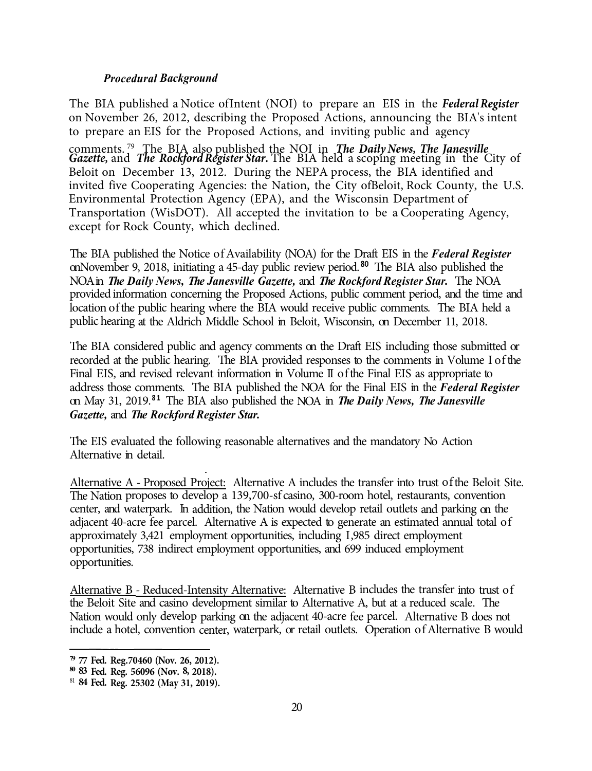#### *Procedural Background*

The BIA published a Notice of Intent (NOI) to prepare an EIS in the *Federal Register*  on November 26, 2012, describing the Proposed Actions, announcing the BIA's intent to prepare an EIS for the Proposed Actions, and inviting public and agency

comments. 79 The BIA also published the NOI in *The Daily News, The Janesville Gazette,* and *The Rockford Register Star.* The BIA held a scoping meeting in the City of Beloit on December 13, 2012. During the NEPA process, the BIA identified and invited five Cooperating Agencies: the Nation, the City of Beloit, Rock County, the U.S. Environmental Protection Agency (EPA), and the Wisconsin Department of Transportation (WisDOT). All accepted the invitation to be a Cooperating Agency, except for Rock County, which declined.

The BIA published the Notice of Availability (NOA) for the Draft EIS in the *Federal Register*  on November 9, 2018, initiating a 45-day public review period.<sup>80</sup> The BIA also published the NOA in *The Daily News, The Janesville Gazette,* and *The Rockford Register Star.* The NOA provided information concerning the Proposed Actions, public comment period, and the time and location of the public hearing where the BIA would receive public comments. The BIA held a public hearing at the Aldrich Middle School in Beloit, Wisconsin, on December 11, 2018.

 *Gazette,* and *The Rockford Register Star.*  The BIA considered public and agency comments on the Draft EIS including those submitted or recorded at the public hearing. The BIA provided responses to the comments in Volume I ofthe Final EIS, and revised relevant information in Volume II of the Final EIS as appropriate to address those comments. The BIA published the NOA for the Final EIS in the *Federal Register*  on May 31, 2019. **8 1** The BIA also published the NOA in *The Daily News, The Janesville* 

The EIS evaluated the following reasonable alternatives and the mandatory No Action Alternative in detail.

Alternative A - Proposed Project: Alternative A includes the transfer into trust of the Beloit Site. The Nation proposes to develop a 139,700-sf casino, 300-room hotel, restaurants, convention center, and waterpark. In addition, the Nation would develop retail outlets and parking on the adjacent 40-acre fee parcel. Alternative A is expected to generate an estimated annual total of approximately 3,421 employment opportunities, including I ,985 direct employment opportunities, 738 indirect employment opportunities, and 699 induced employment opportunities.

Alternative B - Reduced-Intensity Alternative: Alternative B includes the transfer into trust of the Beloit Site and casino development similar to Alternative A, but at a reduced scale. The Nation would only develop parking on the adjacent 40-acre fee parcel. Alternative B does not include a hotel, convention center, waterpark, or retail outlets. Operation of Alternative B would

**<sup>79</sup>77 Fed. Reg.70460 (Nov. 26, 2012).** 

**<sup>80</sup>83 Fed. Reg. 56096 (Nov. 8, 2018).** 

<sup>81</sup>**84 Fed. Reg. 25302 (May 31, 2019).**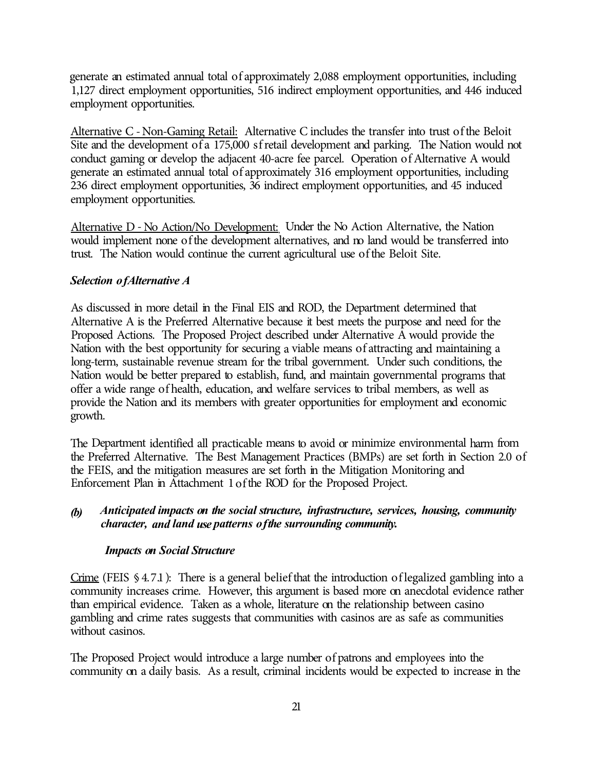generate an estimated annual total of approximately 2,088 employment opportunities, including 1,127 direct employment opportunities, 516 indirect employment opportunities, and 446 induced employment opportunities.

Alternative C -Non-Gaming Retail: Alternative C includes the transfer into trust of the Beloit Site and the development of a 175,000 sf retail development and parking. The Nation would not conduct gaming or develop the adjacent 40-acre fee parcel. Operation of Alternative A would generate an estimated annual total of approximately 316 employment opportunities, including 236 direct employment opportunities, 36 indirect employment opportunities, and 45 induced employment opportunities.

Alternative D - No Action/No Development: Under the No Action Alternative, the Nation would implement none of the development alternatives, and no land would be transferred into trust. The Nation would continue the current agricultural use of the Beloit Site.

## *Selection of Alternative A*

As discussed in more detail in the Final EIS and ROD, the Department determined that Alternative A is the Preferred Alternative because it best meets the purpose and need for the Proposed Actions. The Proposed Project described under Alternative A would provide the Nation with the best opportunity for securing a viable means of attracting and maintaining a long-term, sustainable revenue stream for the tribal government. Under such conditions, the Nation would be better prepared to establish, fund, and maintain governmental programs that offer a wide range of health, education, and welfare services to tribal members, as well as provide the Nation and its members with greater opportunities for employment and economic growth.

The Department identified all practicable means to avoid or minimize environmental harm from the Preferred Alternative. The Best Management Practices (BMPs) are set forth in Section 2.0 of the FEIS, and the mitigation measures are set forth in the Mitigation Monitoring and Enforcement Plan in Attachment 1 of the ROD for the Proposed Project.

## *(b) Anticipated impacts on the social structure, infrastructure, services, housing, community character, and land use patterns of the surrounding community.*

## *Impacts on Social Structure*

Crime (FEIS § 4.7.1): There is a general belief that the introduction of legalized gambling into a community increases crime. However, this argument is based more on anecdotal evidence rather than empirical evidence. Taken as a whole, literature on the relationship between casino gambling and crime rates suggests that communities with casinos are as safe as communities without casinos.

The Proposed Project would introduce a large number of patrons and employees into the community on a daily basis. As a result, criminal incidents would be expected to increase in the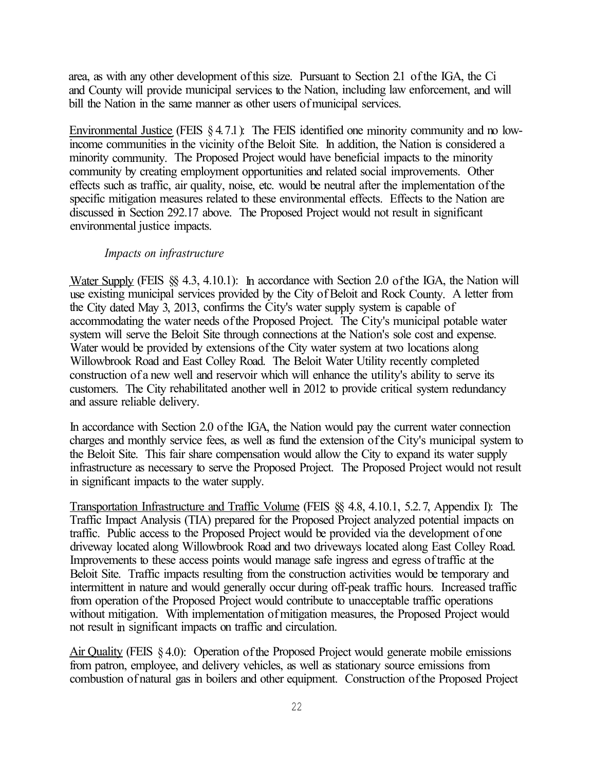area, as with any other development of this size. Pursuant to Section 2.1 of the IGA, the Ci and County will provide municipal services to the Nation, including law enforcement, and will bill the Nation in the same manner as other users of municipal services.

Environmental Justice (FEIS  $\S 4.7.1$ ): The FEIS identified one minority community and no lowincome communities in the vicinity of the Beloit Site. In addition, the Nation is considered a minority community. The Proposed Project would have beneficial impacts to the minority community by creating employment opportunities and related social improvements. Other effects such as traffic, air quality, noise, etc. would be neutral after the implementation of the specific mitigation measures related to these environmental effects. Effects to the Nation are discussed in Section 292.17 above. The Proposed Project would not result in significant environmental justice impacts.

#### *Impacts on infrastructure*

Water Supply (FEIS §§ 4.3, 4.10.1): In accordance with Section 2.0 of the IGA, the Nation will use existing municipal services provided by the City of Beloit and Rock County. A letter from the City dated May 3, 2013, confirms the City's water supply system is capable of accommodating the water needs of the Proposed Project. The City's municipal potable water system will serve the Beloit Site through connections at the Nation's sole cost and expense. Water would be provided by extensions of the City water system at two locations along Willowbrook Road and East Colley Road. The Beloit Water Utility recently completed construction of a new well and reservoir which will enhance the utility's ability to serve its customers. The City rehabilitated another well in 2012 to provide critical system redundancy and assure reliable delivery.

In accordance with Section 2.0 of the IGA, the Nation would pay the current water connection charges and monthly service fees, as well as fund the extension of the City's municipal system to the Beloit Site. This fair share compensation would allow the City to expand its water supply infrastructure as necessary to serve the Proposed Project. The Proposed Project would not result in significant impacts to the water supply.

Transportation Infrastructure and Traffic Volume (FEIS §§ 4.8, 4.10.1, 5.2. 7, Appendix I): The Traffic Impact Analysis (TIA) prepared for the Proposed Project analyzed potential impacts on traffic. Public access to the Proposed Project would be provided via the development of one driveway located along Willowbrook Road and two driveways located along East Colley Road. Improvements to these access points would manage safe ingress and egress of traffic at the Beloit Site. Traffic impacts resulting from the construction activities would be temporary and intermittent in nature and would generally occur during off-peak traffic hours. Increased traffic from operation of the Proposed Project would contribute to unacceptable traffic operations without mitigation. With implementation of mitigation measures, the Proposed Project would not result in significant impacts on traffic and circulation.

Air Quality (FEIS § 4.0): Operation of the Proposed Project would generate mobile emissions from patron, employee, and delivery vehicles, as well as stationary source emissions from combustion of natural gas in boilers and other equipment. Construction of the Proposed Project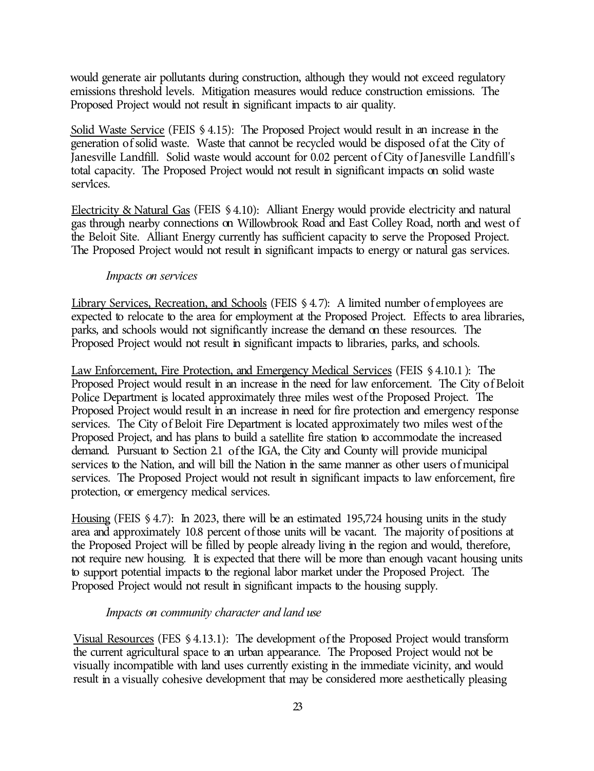would generate air pollutants during construction, although they would not exceed regulatory emissions threshold levels. Mitigation measures would reduce construction emissions. The Proposed Project would not result in significant impacts to air quality.

Solid Waste Service (FEIS § 4.15): The Proposed Project would result in an increase in the generation of solid waste. Waste that cannot be recycled would be disposed of at the City of Janesville Landfill. Solid waste would account for 0.02 percent of City of Janesville Landfill's total capacity. The Proposed Project would not result in significant impacts on solid waste services.

Electricity & Natural Gas (FEIS § 4.10): Alliant Energy would provide electricity and natural gas through nearby connections on Willowbrook Road and East Colley Road, north and west of the Beloit Site. Alliant Energy currently has sufficient capacity to serve the Proposed Project. The Proposed Project would not result in significant impacts to energy or natural gas services.

#### *Impacts on services*

Library Services, Recreation, and Schools (FEIS § 4. 7): A limited number of employees are expected to relocate to the area for employment at the Proposed Project. Effects to area libraries, parks, and schools would not significantly increase the demand on these resources. The Proposed Project would not result in significant impacts to libraries, parks, and schools.

Law Enforcement, Fire Protection, and Emergency Medical Services (FEIS § 4.10.1 ): The Proposed Project would result in an increase in the need for law enforcement. The City of Beloit Police Department is located approximately three miles west of the Proposed Project. The Proposed Project would result in an increase in need for fire protection and emergency response services. The City of Beloit Fire Department is located approximately two miles west of the Proposed Project, and has plans to build a satellite fire station to accommodate the increased demand. Pursuant to Section 2.1 of the IGA, the City and County will provide municipal services to the Nation, and will bill the Nation in the same manner as other users of municipal services. The Proposed Project would not result in significant impacts to law enforcement, fire protection, or emergency medical services.

Housing (FEIS § 4.7): In 2023, there will be an estimated 195,724 housing units in the study area and approximately 10.8 percent of those units will be vacant. The majority of positions at the Proposed Project will be filled by people already living in the region and would, therefore, not require new housing. It is expected that there will be more than enough vacant housing units to support potential impacts to the regional labor market under the Proposed Project. The Proposed Project would not result in significant impacts to the housing supply.

#### *Impacts on community character and land use*

Visual Resources (FES § 4.13.1): The development of the Proposed Project would transform the current agricultural space to an urban appearance. The Proposed Project would not be visually incompatible with land uses currently existing in the immediate vicinity, and would result in a visually cohesive development that may be considered more aesthetically pleasing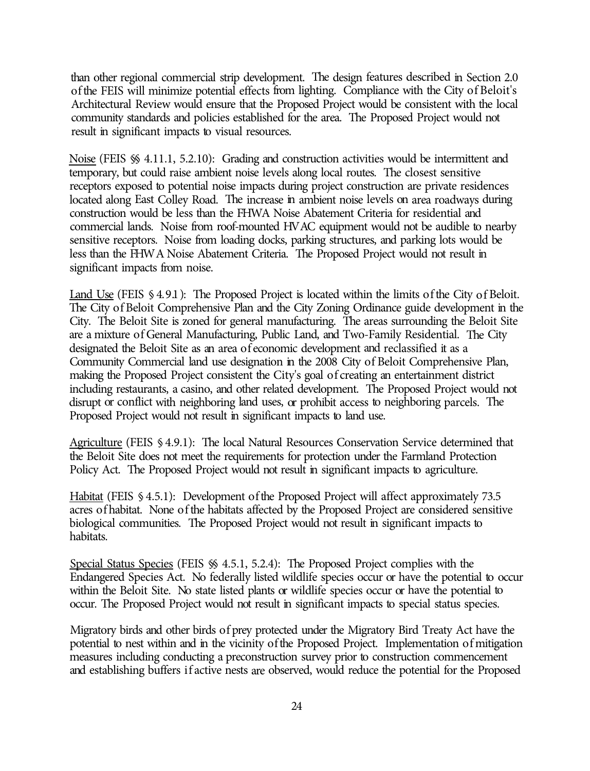than other regional commercial strip development. The design features described in Section 2.0 of the FEIS will minimize potential effects from lighting. Compliance with the City of Beloit's Architectural Review would ensure that the Proposed Project would be consistent with the local community standards and policies established for the area. The Proposed Project would not result in significant impacts to visual resources.

Noise (FEIS §§ 4.11.1, 5.2.10): Grading and construction activities would be intermittent and temporary, but could raise ambient noise levels along local routes. The closest sensitive receptors exposed to potential noise impacts during project construction are private residences located along East Colley Road. The increase in ambient noise levels on area roadways during construction would be less than the FHWA Noise Abatement Criteria for residential and commercial lands. Noise from roof-mounted HV AC equipment would not be audible to nearby sensitive receptors. Noise from loading docks, parking structures, and parking lots would be less than the FHW A Noise Abatement Criteria. The Proposed Project would not result in significant impacts from noise.

Land Use (FEIS § 4.9.1): The Proposed Project is located within the limits of the City of Beloit. The City of Beloit Comprehensive Plan and the City Zoning Ordinance guide development in the City. The Beloit Site is zoned for general manufacturing. The areas surrounding the Beloit Site are a mixture of General Manufacturing, Public Land, and Two-Family Residential. The City designated the Beloit Site as an area of economic development and reclassified it as a Community Commercial land use designation in the 2008 City of Beloit Comprehensive Plan, making the Proposed Project consistent the City's goal of creating an entertainment district including restaurants, a casino, and other related development. The Proposed Project would not disrupt or conflict with neighboring land uses, or prohibit access to neighboring parcels. The Proposed Project would not result in significant impacts to land use.

Agriculture (FEIS § 4.9.1): The local Natural Resources Conservation Service determined that the Beloit Site does not meet the requirements for protection under the Farmland Protection Policy Act. The Proposed Project would not result in significant impacts to agriculture.

Habitat (FEIS § 4.5.1): Development of the Proposed Project will affect approximately 73.5 acres of habitat. None of the habitats affected by the Proposed Project are considered sensitive biological communities. The Proposed Project would not result in significant impacts to habitats.

Special Status Species (FEIS §§ 4.5.1, 5.2.4): The Proposed Project complies with the Endangered Species Act. No federally listed wildlife species occur or have the potential to occur within the Beloit Site. No state listed plants or wildlife species occur or have the potential to occur. The Proposed Project would not result in significant impacts to special status species.

Migratory birds and other birds of prey protected under the Migratory Bird Treaty Act have the potential to nest within and in the vicinity of the Proposed Project. Implementation of mitigation measures including conducting a preconstruction survey prior to construction commencement and establishing buffers if active nests are observed, would reduce the potential for the Proposed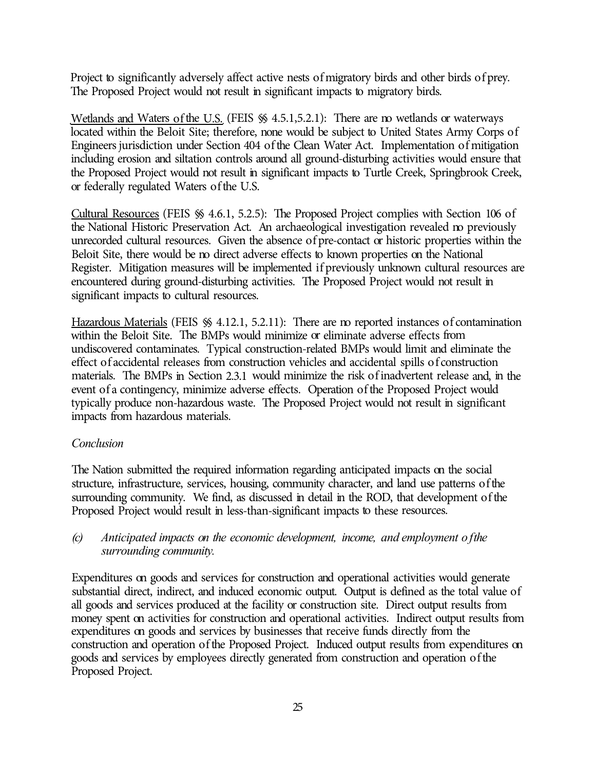Project to significantly adversely affect active nests of migratory birds and other birds of prey. The Proposed Project would not result in significant impacts to migratory birds.

Wetlands and Waters of the U.S. (FEIS  $\%$  4.5.1,5.2.1): There are no wetlands or waterways located within the Beloit Site; therefore, none would be subject to United States Army Corps of Engineers jurisdiction under Section 404 of the Clean Water Act. Implementation of mitigation including erosion and siltation controls around all ground-disturbing activities would ensure that the Proposed Project would not result in significant impacts to Turtle Creek, Springbrook Creek, or federally regulated Waters of the U.S.

Cultural Resources (FEIS §§ 4.6.1, 5.2.5): The Proposed Project complies with Section 106 of the National Historic Preservation Act. An archaeological investigation revealed no previously unrecorded cultural resources. Given the absence of pre-contact or historic properties within the Beloit Site, there would be no direct adverse effects to known properties on the National Register. Mitigation measures will be implemented if previously unknown cultural resources are encountered during ground-disturbing activities. The Proposed Project would not result in significant impacts to cultural resources.

Hazardous Materials (FEIS  $\%$  4.12.1, 5.2.11): There are no reported instances of contamination within the Beloit Site. The BMPs would minimize or eliminate adverse effects from undiscovered contaminates. Typical construction-related BMPs would limit and eliminate the effect of accidental releases from construction vehicles and accidental spills of construction materials. The BMPs in Section 2.3.1 would minimize the risk of inadvertent release and, in the event of a contingency, minimize adverse effects. Operation of the Proposed Project would typically produce non-hazardous waste. The Proposed Project would not result in significant impacts from hazardous materials.

## *Conclusion*

The Nation submitted the required information regarding anticipated impacts on the social structure, infrastructure, services, housing, community character, and land use patterns of the surrounding community. We find, as discussed in detail in the ROD, that development of the Proposed Project would result in less-than-significant impacts to these resources.

*(c) Anticipated impacts on the economic development, income, and employment of the surrounding community.* 

Expenditures on goods and services for construction and operational activities would generate substantial direct, indirect, and induced economic output. Output is defined as the total value of all goods and services produced at the facility or construction site. Direct output results from money spent on activities for construction and operational activities. Indirect output results from expenditures on goods and services by businesses that receive funds directly from the construction and operation of the Proposed Project. Induced output results from expenditures on goods and services by employees directly generated from construction and operation of the Proposed Project.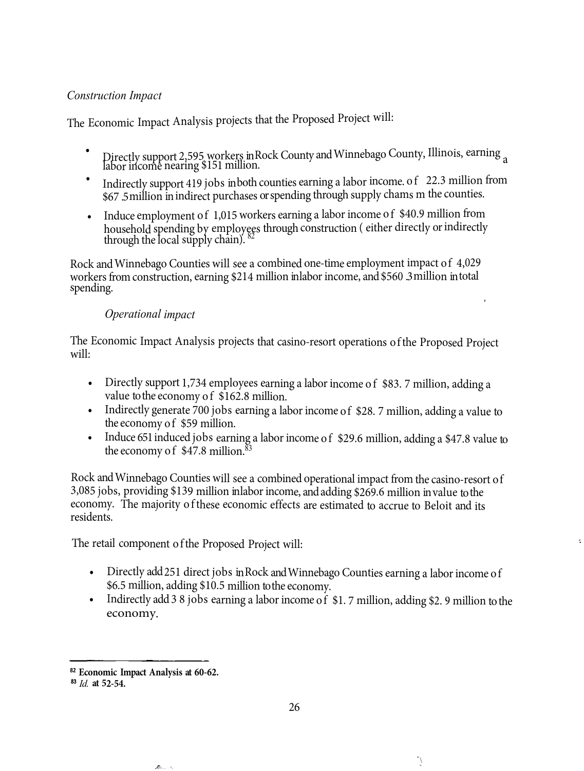## *Construction Impact*

The Economic Impact Analysis projects that the Proposed Project will:

- •Directly support 2,595 workers inRock County andWinnebago County, Illinois, earning <sup>a</sup> labor income nearing \$151 million.
- •Indirectly support 419 jobs in both counties earning a labor income. of 22.3 million from \$67 .5million inindirect purchases orspending through supply chams m the counties.
- Induce employment of 1,015 workers earning a labor income of \$40.9 million from household spending by employees through construction ( either directly or indirectly through the local supply chain).  $82$

Rock and Winnebago Counties will see a combined one-time employment impact of 4,029 workers from construction, earning \$214 million inlaborincome, and\$560 .3million intotal spending.

## *Operational impact*

The Economic Impact Analysis projects that casino-resort operations ofthe Proposed Project will:

- Directly support 1,734 employees earning a labor income of \$83.7 million, adding a value to the economy of \$162.8 million.
- Indirectly generate 700 jobs earning a labor income of \$28.7 million, adding a value to the economy of \$59 million.
- Induce 651 induced jobs earning a labor income of \$29.6 million, adding a \$47.8 value to the economy of  $$47.8$  million.<sup>83</sup>

Rock andWinnebago Counties will see a combined operational impact from the casino-resort of 3,085 jobs, providing \$139 million inlaborincome, andadding \$269.6 million invalue tothe economy. The majority <sup>o</sup> fthese economic effects are estimated to accrue to Beloit and its residents.

The retail componen<sup>t</sup> <sup>o</sup> fthe Proposed Project will:

- Directly add 251 direct jobs in Rock and Winnebago Counties earning a labor income of \$6.5 million, adding \$10.5 million tothe economy.
- Indirectly add 3 8 jobs earning a labor income of \$1.7 million, adding \$2.9 million to the economy.

**<sup>82</sup>Economic Impact Analysis at 60-62.** 

<sup>83</sup>*Id.* **at 52-54.**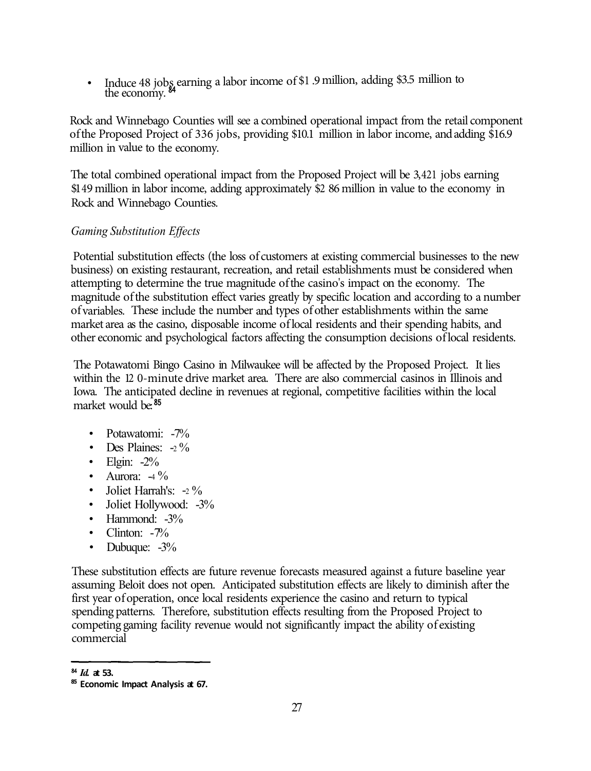Induce 48 jobs earning a labor income of \$1.9 million, adding \$3.5 million to the economy.

Rock and Winnebago Counties will see a combined operational impact from the retail component of the Proposed Project of 336 jobs, providing \$10.1 million in labor income, and adding \$16.9 million in value to the economy.

The total combined operational impact from the Proposed Project will be 3,421 jobs earning \$149 million in labor income, adding approximately \$2 86 million in value to the economy in Rock and Winnebago Counties.

## *Gaming Substitution Effects*

Potential substitution effects (the loss of customers at existing commercial businesses to the new business) on existing restaurant, recreation, and retail establishments must be considered when attempting to determine the true magnitude of the casino's impact on the economy. The magnitude of the substitution effect varies greatly by specific location and according to a number of variables. These include the number and types of other establishments within the same market area as the casino, disposable income of local residents and their spending habits, and other economic and psychological factors affecting the consumption decisions of local residents.

The Potawatomi Bingo Casino in Milwaukee will be affected by the Proposed Project. It lies within the 12 0-minute drive market area. There are also commercial casinos in Illinois and Iowa. The anticipated decline in revenues at regional, competitive facilities within the local market would be:<sup>85</sup>

- Potawatomi: -7%
- Des Plaines:  $-2\%$
- Elgin:  $-2\%$
- Aurora:  $-4\%$
- Joliet Harrah's:  $-2\%$
- Joliet Hollywood: -3%
- Hammond: -3%
- Clinton:  $-7%$
- Dubuque:  $-3\%$

These substitution effects are future revenue forecasts measured against a future baseline year assuming Beloit does not open. Anticipated substitution effects are likely to diminish after the first year of operation, once local residents experience the casino and return to typical spending patterns. Therefore, substitution effects resulting from the Proposed Project to competing gaming facility revenue would not significantly impact the ability of existing commercial

<sup>84</sup>*Id.* **at 53.** 

**<sup>85</sup>Economic Impact Analysis at 67.**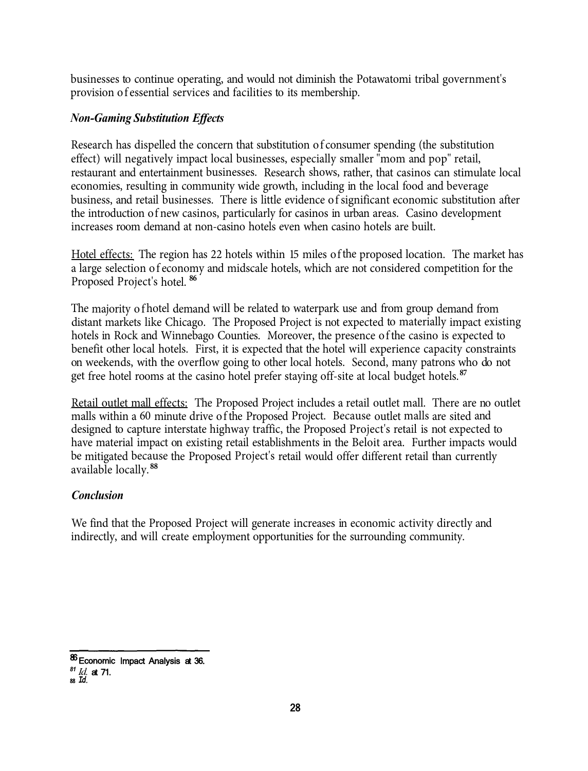businesses to continue operating, and would not diminish the Potawatomi tribal government's provision of essential services and facilities to its membership.

#### *Non-Gaming Substitution Effects*

Research has dispelled the concern that substitution of consumer spending (the substitution effect) will negatively impact local businesses, especially smaller "mom and pop" retail, restaurant and entertainment businesses. Research shows, rather, that casinos can stimulate local economies, resulting in community wide growth, including in the local food and beverage business, and retail businesses. There is little evidence of significant economic substitution after the introduction of new casinos, particularly for casinos in urban areas. Casino development increases room demand at non-casino hotels even when casino hotels are built.

Hotel effects: The region has 22 hotels within 15 miles of the proposed location. The market has a large selection of economy and midscale hotels, which are not considered competition for the Proposed Project's hotel. **<sup>86</sup>**

The majority of hotel demand will be related to waterpark use and from group demand from distant markets like Chicago. The Proposed Project is not expected to materially impact existing hotels in Rock and Winnebago Counties. Moreover, the presence of the casino is expected to benefit other local hotels. First, it is expected that the hotel will experience capacity constraints on weekends, with the overflow going to other local hotels. Second, many patrons who do not get free hotel rooms at the casino hotel prefer staying off-site at local budget hotels. **<sup>87</sup>**

Retail outlet mall effects: The Proposed Project includes a retail outlet mall. There are no outlet malls within a 60 minute drive of the Proposed Project. Because outlet malls are sited and designed to capture interstate highway traffic, the Proposed Project's retail is not expected to have material impact on existing retail establishments in the Beloit area. Further impacts would be mitigated because the Proposed Project's retail would offer different retail than currently available locally.**<sup>88</sup>**

#### *Conclusion*

We find that the Proposed Project will generate increases in economic activity directly and indirectly, and will create employment opportunities for the surrounding community.

<sup>86</sup> Economic Impact Analysis at 36.

*<sup>81</sup> Id.* at 71. 88 *Id.*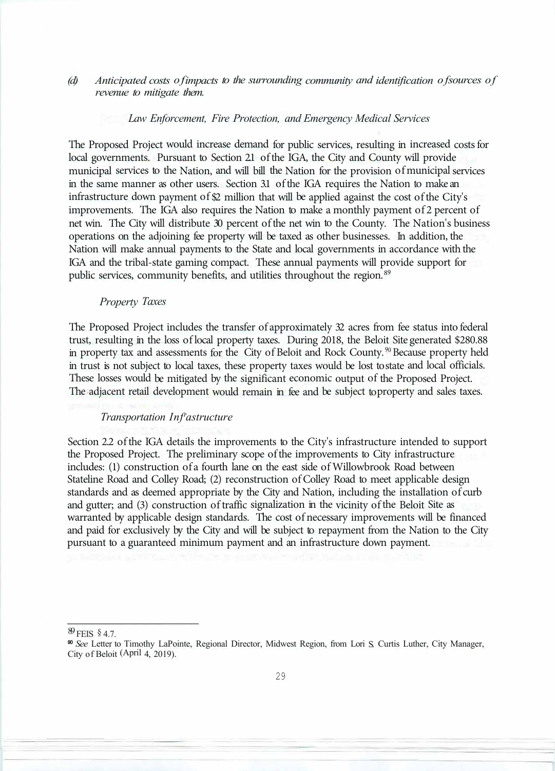#### *(d) Anticipated costs of impacts to the surrounding community and identification of sources of revenue to mitigate them.*

#### *Law Enforcement, Fire Protection, and Emergency Medical Services*

The Proposed Project would increase demand for public services, resulting in increased costs for local governments. Pursuant to Section 21 of the IGA, the City and County will provide municipal services to the Nation, and will bill the Nation for the provision of municipal services in the same manner as other users. Section 3.1 of the IGA requires the Nation to make an infrastructure down payment of \$2 million that will be applied against the cost of the City's improvements. The IGA also requires the Nation to make a monthly payment of 2 percent of net win. The City will distribute 30 percent of the net win to the County. The Nation's business operations on the adjoining fee property will be taxed as other businesses. In addition, the Nation will make annual payments to the State and local governments in accordance with the IGA and the tribal-state gaming compact. These annual payments will provide support for public services, community benefits, and utilities throughout the region. 89

#### *Property Taxes*

The Proposed Project includes the transfer of approximately 32 acres from fee status into federal trust, resulting in the loss of local property taxes. During 2018, the Beloit Site generated \$280.88 in property tax and assessments for the City of Beloit and Rock County.<sup>90</sup> Because property held in trust is not subject to local taxes, these property taxes would be lost to state and local officials. These losses would be mitigated by the significant economic output of the Proposed Project. The adjacent retail development would remain in fee and be subject to property and sales taxes.

#### *Transportation Infr astructure*

Section 2.2 of the IGA details the improvements to the City's infrastructure intended to support the Proposed Project. The preliminary scope of the improvements to City infrastructure includes: (1) construction of a fourth lane on the east side of Willowbrook Road between Stateline Road and Colley Road; (2) reconstruction of Colley Road to meet applicable design standards and as deemed appropriate by the City and Nation, including the installation of curb and gutter; and (3) construction of traffic signalization in the vicinity of the Beloit Site as warranted by applicable design standards. The cost of necessary improvements will be financed and paid for exclusively by the City and will be subject to repayment from the Nation to the City pursuant to a guaranteed minimum payment and an infrastructure down payment.

89 FEIS § 4.7.

<sup>90</sup>*See* Letter to Timothy LaPointe, Regional Director, Midwest Region, from Lori S. Curtis Luther, City Manager, City of Beloit (April 4, 2019).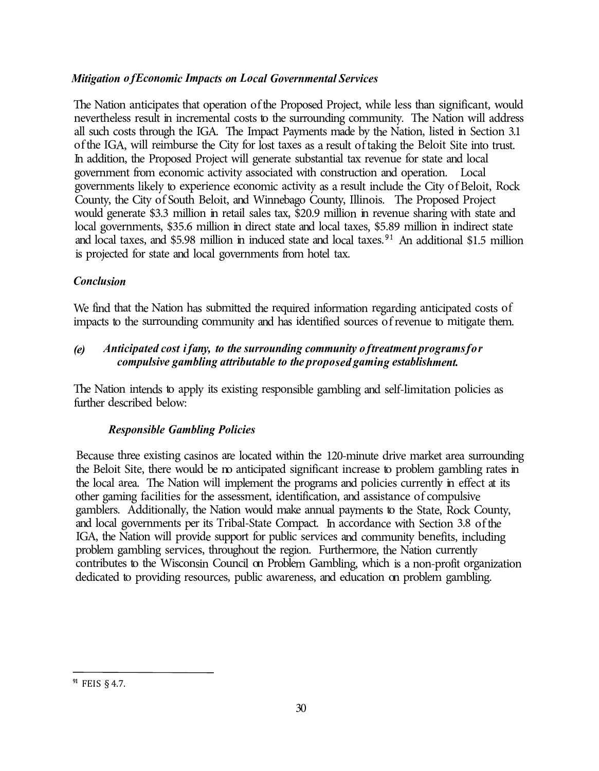## *Mitigation of Economic Impacts on Local Governmental Services*

The Nation anticipates that operation of the Proposed Project, while less than significant, would nevertheless result in incremental costs to the surrounding community. The Nation will address all such costs through the IGA. The Impact Payments made by the Nation, listed in Section 3.1 of the IGA, will reimburse the City for lost taxes as a result of taking the Beloit Site into trust. In addition, the Proposed Project will generate substantial tax revenue for state and local government from economic activity associated with construction and operation. Local governments likely to experience economic activity as a result include the City of Beloit, Rock County, the City of South Beloit, and Winnebago County, Illinois. The Proposed Project would generate \$3.3 million in retail sales tax, \$20.9 million in revenue sharing with state and local governments, \$35.6 million in direct state and local taxes, \$5.89 million in indirect state and local taxes, and \$5.98 million in induced state and local taxes.<sup>91</sup> An additional \$1.5 million is projected for state and local governments from hotel tax.

## *Conclusion*

We find that the Nation has submitted the required information regarding anticipated costs of impacts to the surrounding community and has identified sources of revenue to mitigate them.

## *(e) Anticipated cost if any, to the surrounding community of treatment programs for compulsive gambling attributable to the proposed gaming establishment.*

The Nation intends to apply its existing responsible gambling and self-limitation policies as further described below:

## *Responsible Gambling Policies*

Because three existing casinos are located within the 120-minute drive market area surrounding the Beloit Site, there would be no anticipated significant increase to problem gambling rates in the local area. The Nation will implement the programs and policies currently in effect at its other gaming facilities for the assessment, identification, and assistance of compulsive gamblers. Additionally, the Nation would make annual payments to the State, Rock County, and local governments per its Tribal-State Compact. In accordance with Section 3.8 of the IGA, the Nation will provide support for public services and community benefits, including problem gambling services, throughout the region. Furthermore, the Nation currently contributes to the Wisconsin Council on Problem Gambling, which is a non-profit organization dedicated to providing resources, public awareness, and education on problem gambling.

FEIS § 4.7. **91**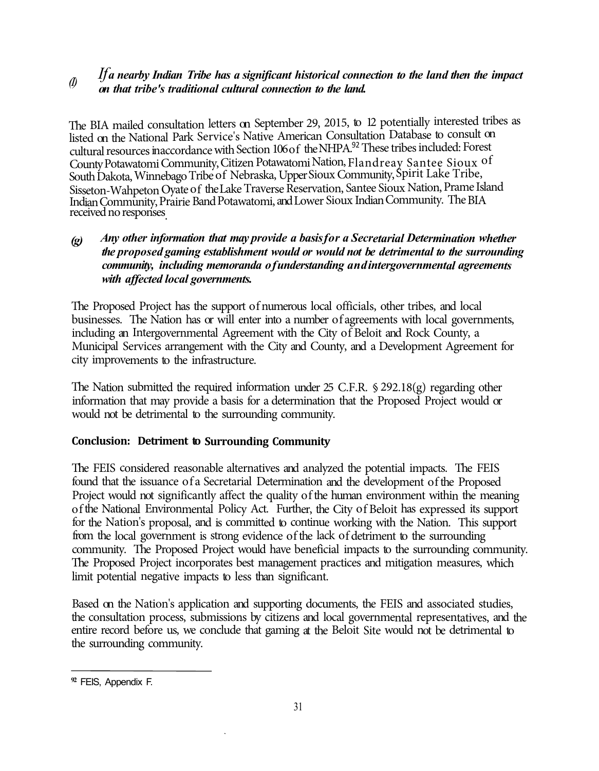# *If a nearby Indian Tribe has a significant historical connection to the land then the impact (I) on that tribe's traditional cultural connection to the land.*

The BIA mailed consultation letters on September 29, 2015, to 12 potentially interested tribes as listed on the National Park Service's Native American Consultation Database to consult on cultural resources in accordance with Section 106 of the NHPA.<sup>92</sup> These tribes included: Forest County Potawatomi Community, Citizen Potawatomi Nation, Flandreay Santee Sioux o<sup>f</sup> South Dakota, Winnebago Tribe of Nebraska, Upper Sioux Community, Spirit Lake Tribe, Sisseton-Wahpeton Oyate of the Lake Traverse Reservation, Santee Sioux Nation, Prame Island Indian Community, Prairie Band Potawatomi, and Lower Sioux Indian Community. The BIA received no responses.

## *(g) Any other information that may provide a basis for a Secretarial Determination whether the proposed gaming establishment would or would not be detrimental to the surrounding community, including memoranda of understanding and intergovernmental agreements with affected local governments.*

The Proposed Project has the support of numerous local officials, other tribes, and local businesses. The Nation has or will enter into a number of agreements with local governments, including an Intergovernmental Agreement with the City of Beloit and Rock County, a Municipal Services arrangement with the City and County, and a Development Agreement for city improvements to the infrastructure.

The Nation submitted the required information under 25 C.F.R. § 292.18(g) regarding other information that may provide a basis for a determination that the Proposed Project would or would not be detrimental to the surrounding community.

## **Conclusion: Detriment to Surrounding Community**

The FEIS considered reasonable alternatives and analyzed the potential impacts. The FEIS found that the issuance of a Secretarial Determination and the development of the Proposed Project would not significantly affect the quality of the human environment within the meaning of the National Environmental Policy Act. Further, the City of Beloit has expressed its support for the Nation's proposal, and is committed to continue working with the Nation. This support from the local government is strong evidence of the lack of detriment to the surrounding community. The Proposed Project would have beneficial impacts to the surrounding community. The Proposed Project incorporates best management practices and mitigation measures, which limit potential negative impacts to less than significant.

Based on the Nation's application and supporting documents, the FEIS and associated studies, the consultation process, submissions by citizens and local governmental representatives, and the entire record before us, we conclude that gaming at the Beloit Site would not be detrimental to the surrounding community.

**<sup>92</sup>**FEIS, Appendix F.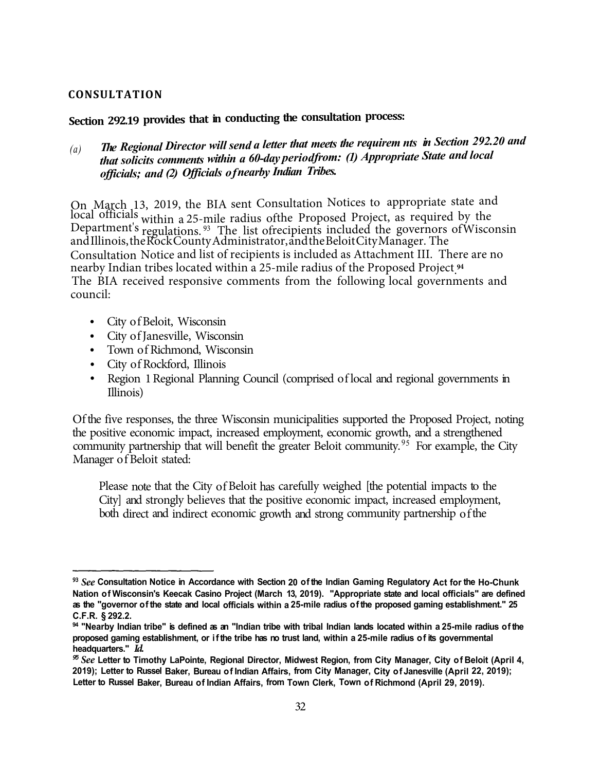#### **CONSULTATION**

## **Section 292.19 provides that in conducting the consultation process:**

*The Regional Director will send a letter that meets the requirem nts in Section 292.20 and (a) that solicits comments within a 60-day period from: (1) Appropriate State and local officials; and (2) Officials of nearby Indian Tribes.* 

ľ On March 13, 2019, the BIA sent Consultation Notices to appropriate state and local officials within a 25-mile radius of the Proposed Project, as required by the Department's regulations. 93 The list of recipients included the governors of Wisconsin and Illinois, the Rock County Administrator, and the Beloit City Manager. The Consultation Notice and list of recipients is included as Attachment III. There are no nearby Indian tribes located within a 25-mile radius of the Proposed Project. **94**  The BIA received responsive comments from the following local governments and council:

- City of Beloit, Wisconsin
- City of Janesville, Wisconsin
- Town of Richmond, Wisconsin
- City of Rockford, Illinois
- Region 1 Regional Planning Council (comprised of local and regional governments in Illinois)

Of the five responses, the three Wisconsin municipalities supported the Proposed Project, noting the positive economic impact, increased employment, economic growth, and a strengthened community partnership that will benefit the greater Beloit community.<sup>95</sup> For example, the City Manager of Beloit stated:

Please note that the City of Beloit has carefully weighed [the potential impacts to the City] and strongly believes that the positive economic impact, increased employment, both direct and indirect economic growth and strong community partnership of the

**<sup>93</sup>***See* **Consultation Notice in Accordance with Section 20 of the Indian Gaming Regulatory Act for the Ho-Chunk Nation of Wisconsin's Keecak Casino Project (March 13, 2019). "Appropriate state and local officials" are defined as the "governor of the state and local officials within a 25-mile radius of the proposed gaming establishment." 25 C.F.R. § 292.2.**

**<sup>94 &</sup>quot;Nearby Indian tribe" is defined as an "Indian tribe with tribal Indian lands located within a 25-mile radius of the proposed gaming establishment, or if the tribe has no trust land, within a 25-mile radius of its governmental headquarters."** *Id.* 

*<sup>95</sup>See* **Letter to Timothy LaPointe, Regional Director, Midwest Region, from City Manager, City of Beloit (April 4, 2019); Letter to Russel Baker, Bureau of Indian Affairs, from City Manager, City of Janesville (April 22, 2019); Letter to Russel Baker, Bureau of Indian Affairs, from Town Clerk, Town of Richmond (April 29, 2019).**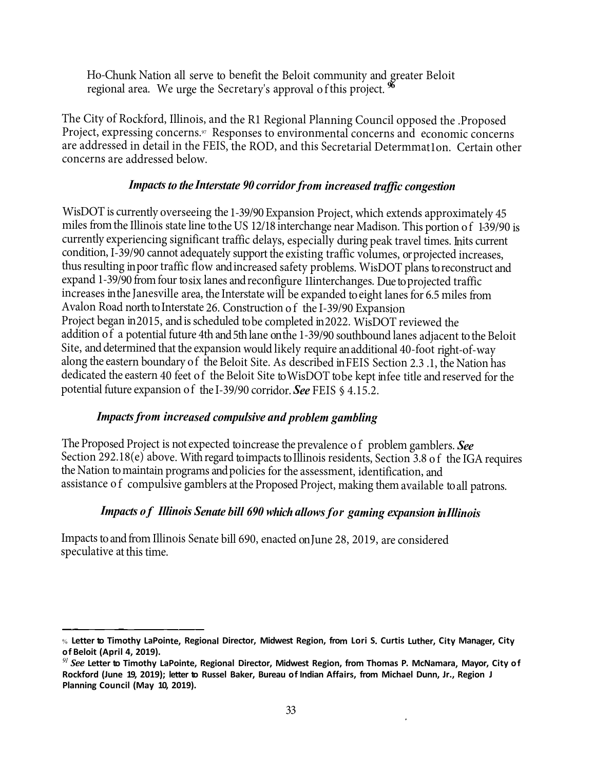Ho-Chunk Nation all serve to benefit the Beloit community and greater Beloit regional area. We urge the Secretary's approval of this project. **<sup>96</sup>**

The City of Rockford, Illinois, and the R1 Regional Planning Council opposed the .Proposed Project, expressing concerns.<sup>97</sup> Responses to environmental concerns and economic concerns are addressed in detail in the FEIS, the ROD, and this Secretarial Determmat1on. Certain other concerns are addressed below.

## Impacts to the Interstate 90 corridor from increased traffic congestion

 WisDOT is currently overseeing the 1-39/90 Expansion Project, which extends approximately 45 condition, I-39/90 cannot adequately support the existing traffic volumes, orprojected increases, increases inthe Janesville area, the Interstate will be expanded toeight lanes for 6.5 miles from miles from the Illinois state line to the US 12/18 interchange near Madison. This portion of 1-39/90 is currently experiencing significant traffic delays, especially during peak travel times. Inits current thus resulting inpoor traffic flow and increased safety problems. WisDOT plans to reconstruct and expand 1-39/90 from four tosix lanes and reconfigure 11interchanges. Due to projected traffic Avalon Road north to Interstate 26. Construction of the I-39/90 Expansion Project began in 2015, and is scheduled to be completed in 2022. WisDOT reviewed the addition of a potential future 4th and 5th lane onthe 1-39/90 southbound lanes adjacent to the Beloit Site, and determined that the expansion would likely require an additional 40-foot right-of-way along the eastern boundary of the Beloit Site. As described inFEIS Section 2.3 .1, the Nation has dedicated the eastern 40 feet of the Beloit Site toWisDOT tobe kept infee title andreserved forthe potential future expansion of the I-39/90 corridor. *See* FEIS § 4.15.2.

## *Impacts from increased compulsive and problem gambling*

the Nation to maintain programs and policies for the assessment, identification, and The Proposed Project is not expected to increase the prevalence of problem gamblers. See Section 292.18(e) above. With regard to impacts to Illinois residents, Section 3.8 of the IGA requires assistance of compulsive gamblers at the Proposed Project, making them available toall patrons.

## *Impacts <sup>o</sup> f Illinois Senate bill 690 which allows for gaming expansion inIllinois*

Impacts to and from Illinois Senate bill 690, enacted on June 28, 2019, are considered speculative at this time.

<sup>%</sup> **Letter to Timothy LaPointe, Regional Director, Midwest Region, from Lori S. Curtis Luther, City Manager, City of Beloit (April 4, 2019).** 

*<sup>91</sup>See* **Letter to Timothy LaPointe, Regional Director, Midwest Region, from Thomas P. McNamara, Mayor, City of Rockford (June 19, 2019); letter to Russel Baker, Bureau of Indian Affairs, from Michael Dunn, Jr., Region J Planning Council (May 10, 2019).**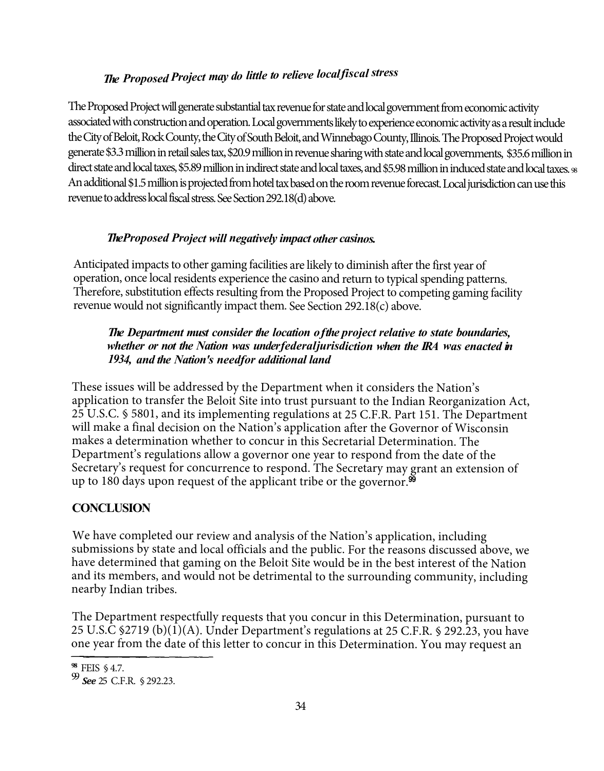## *The Proposed Project may do little to relieve local fiscal stress*

The Proposed Project will generate substantial tax revenue for state and local government from economic activity associated with construction and operation. Local governments likely to experience economic activity as a result include the City of Beloit, Rock County, the City of South Beloit, and Winnebago County, Illinois. The Proposed Project would generate \$3.3 million in retail sales tax, \$20.9 million in revenue sharing with state and local governments, \$35.6 million in direct state and local taxes, \$5.89 million in indirect state and local taxes, and \$5.98 million in induced state and local taxes. <sup>98</sup> An additional \$1.5 million is projected from hotel tax based on the room revenue forecast. Local jurisdiction can use this revenue to address local fiscal stress. See Section 292.18(d) above.

## *The Proposed Project will negatively impact other casinos.*

Anticipated impacts to other gaming facilities are likely to diminish after the first year of operation, once local residents experience the casino and return to typical spending patterns. Therefore, substitution effects resulting from the Proposed Project to competing gaming facility revenue would not significantly impact them. See Section 292.18(c) above.

## *The Department must consider the location of the project relative to state boundaries, whether or not the Nation was under federal jurisdiction when the IRA was enacted in 1934, and the Nation's needfor additional land*

These issues will be addressed by the Department when it considers the Nation's application to transfer the Beloit Site into trust pursuant to the Indian Reorganization Act, 25 U.S.C. § 5801, and its implementing regulations at 25 C.F.R. Part 151. The Department will make a final decision on the Nation's application after the Governor of Wisconsin makes a determination whether to concur in this Secretarial Determination. The Department's regulations allow a governor one year to respond from the date of the Secretary's request for concurrence to respond. The Secretary may grant an extension of up to 180 days upon request of the applicant tribe or the governor. $\mathbf{99}$ 

## **CONCLUSION**

We have completed our review and analysis of the Nation's application, including submissions by state and local officials and the public. For the reasons discussed above, we have determined that gaming on the Beloit Site would be in the best interest of the Nation and its members, and would not be detrimental to the surrounding community, including nearby Indian tribes.

The Department respectfully requests that you concur in this Determination, pursuant to 25 U.S.C §2719 (b) $(1)(A)$ . Under Department's regulations at 25 C.F.R. § 292.23, you have one year from the date of this letter to concur in this Determination. You may request an

**<sup>98</sup>**FEIS § 4.7.

<sup>99</sup>*See* 25 C.F.R. § 292.23.